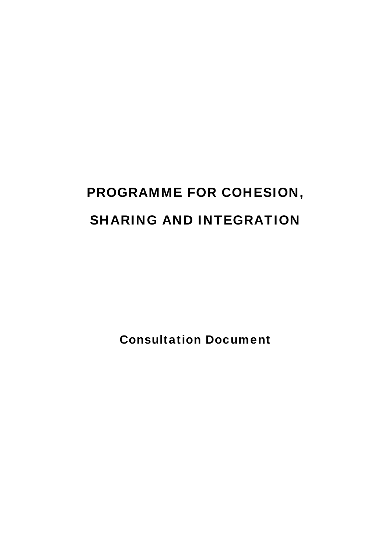# PROGRAMME FOR COHESION, SHARING AND INTEGRATION

Consultation Document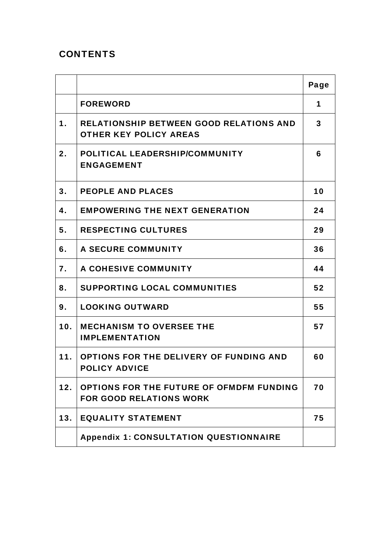# **CONTENTS**

|               |                                                                                 | Page |
|---------------|---------------------------------------------------------------------------------|------|
|               | <b>FOREWORD</b>                                                                 | 1    |
| $\mathbf 1$ . | <b>RELATIONSHIP BETWEEN GOOD RELATIONS AND</b><br><b>OTHER KEY POLICY AREAS</b> | 3    |
| 2.            | POLITICAL LEADERSHIP/COMMUNITY<br><b>ENGAGEMENT</b>                             | 6    |
| 3.            | <b>PEOPLE AND PLACES</b>                                                        | 10   |
| 4.            | <b>EMPOWERING THE NEXT GENERATION</b>                                           | 24   |
| 5.            | <b>RESPECTING CULTURES</b>                                                      | 29   |
| 6.            | A SECURE COMMUNITY                                                              | 36   |
| 7.            | A COHESIVE COMMUNITY                                                            | 44   |
| 8.            | <b>SUPPORTING LOCAL COMMUNITIES</b>                                             | 52   |
| 9.            | <b>LOOKING OUTWARD</b>                                                          | 55   |
| 10.           | <b>MECHANISM TO OVERSEE THE</b><br><b>IMPLEMENTATION</b>                        | 57   |
| 11.           | OPTIONS FOR THE DELIVERY OF FUNDING AND<br><b>POLICY ADVICE</b>                 | 60   |
| 12.           | OPTIONS FOR THE FUTURE OF OFMDFM FUNDING<br><b>FOR GOOD RELATIONS WORK</b>      | 70   |
| 13.           | <b>EQUALITY STATEMENT</b>                                                       | 75   |
|               | <b>Appendix 1: CONSULTATION QUESTIONNAIRE</b>                                   |      |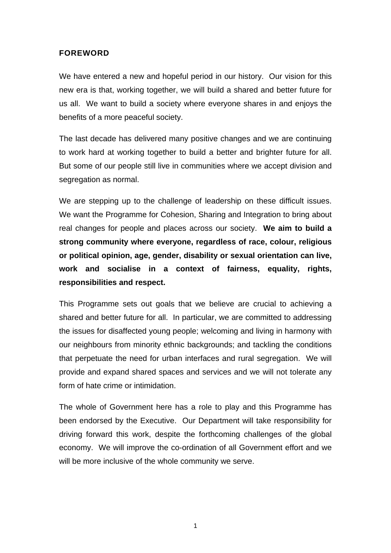#### FOREWORD

We have entered a new and hopeful period in our history. Our vision for this new era is that, working together, we will build a shared and better future for us all. We want to build a society where everyone shares in and enjoys the benefits of a more peaceful society.

The last decade has delivered many positive changes and we are continuing to work hard at working together to build a better and brighter future for all. But some of our people still live in communities where we accept division and segregation as normal.

We are stepping up to the challenge of leadership on these difficult issues. We want the Programme for Cohesion, Sharing and Integration to bring about real changes for people and places across our society. **We aim to build a strong community where everyone, regardless of race, colour, religious or political opinion, age, gender, disability or sexual orientation can live, work and socialise in a context of fairness, equality, rights, responsibilities and respect.** 

This Programme sets out goals that we believe are crucial to achieving a shared and better future for all. In particular, we are committed to addressing the issues for disaffected young people; welcoming and living in harmony with our neighbours from minority ethnic backgrounds; and tackling the conditions that perpetuate the need for urban interfaces and rural segregation. We will provide and expand shared spaces and services and we will not tolerate any form of hate crime or intimidation.

The whole of Government here has a role to play and this Programme has been endorsed by the Executive. Our Department will take responsibility for driving forward this work, despite the forthcoming challenges of the global economy. We will improve the co-ordination of all Government effort and we will be more inclusive of the whole community we serve.

1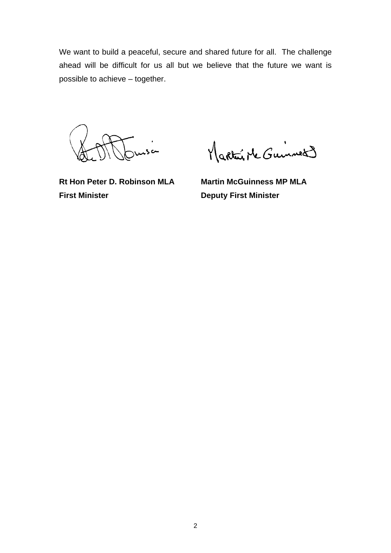We want to build a peaceful, secure and shared future for all. The challenge ahead will be difficult for us all but we believe that the future we want is possible to achieve – together.

.<br>من

Martin Mc Guinnes

**First Minister Deputy First Minister** 

Rt Hon Peter D. Robinson MLA Martin McGuinness MP MLA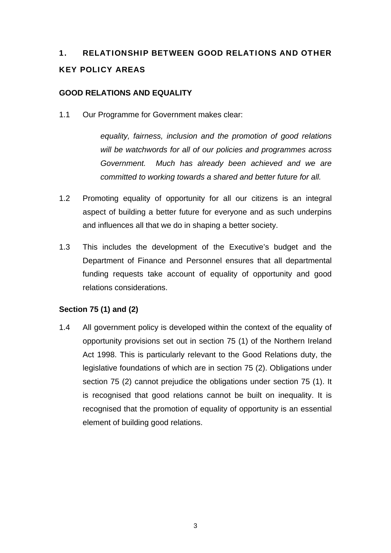# 1. RELATIONSHIP BETWEEN GOOD RELATIONS AND OTHER KEY POLICY AREAS

#### **GOOD RELATIONS AND EQUALITY**

1.1 Our Programme for Government makes clear:

 *equality, fairness, inclusion and the promotion of good relations will be watchwords for all of our policies and programmes across Government. Much has already been achieved and we are committed to working towards a shared and better future for all.* 

- 1.2 Promoting equality of opportunity for all our citizens is an integral aspect of building a better future for everyone and as such underpins and influences all that we do in shaping a better society.
- 1.3 This includes the development of the Executive's budget and the Department of Finance and Personnel ensures that all departmental funding requests take account of equality of opportunity and good relations considerations.

#### **Section 75 (1) and (2)**

1.4 All government policy is developed within the context of the equality of opportunity provisions set out in section 75 (1) of the Northern Ireland Act 1998. This is particularly relevant to the Good Relations duty, the legislative foundations of which are in section 75 (2). Obligations under section 75 (2) cannot prejudice the obligations under section 75 (1). It is recognised that good relations cannot be built on inequality. It is recognised that the promotion of equality of opportunity is an essential element of building good relations.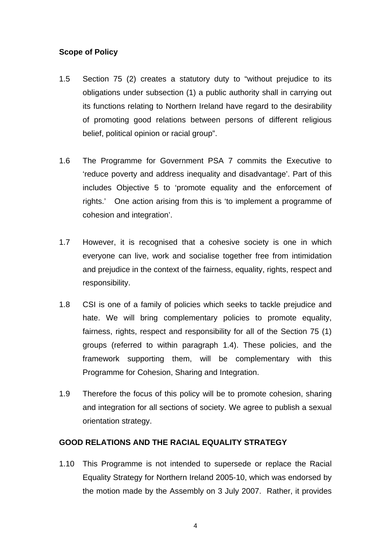#### **Scope of Policy**

- 1.5 Section 75 (2) creates a statutory duty to "without prejudice to its obligations under subsection (1) a public authority shall in carrying out its functions relating to Northern Ireland have regard to the desirability of promoting good relations between persons of different religious belief, political opinion or racial group".
- 1.6 The Programme for Government PSA 7 commits the Executive to 'reduce poverty and address inequality and disadvantage'. Part of this includes Objective 5 to 'promote equality and the enforcement of rights.' One action arising from this is 'to implement a programme of cohesion and integration'.
- 1.7 However, it is recognised that a cohesive society is one in which everyone can live, work and socialise together free from intimidation and prejudice in the context of the fairness, equality, rights, respect and responsibility.
- 1.8 CSI is one of a family of policies which seeks to tackle prejudice and hate. We will bring complementary policies to promote equality, fairness, rights, respect and responsibility for all of the Section 75 (1) groups (referred to within paragraph 1.4). These policies, and the framework supporting them, will be complementary with this Programme for Cohesion, Sharing and Integration.
- 1.9 Therefore the focus of this policy will be to promote cohesion, sharing and integration for all sections of society. We agree to publish a sexual orientation strategy.

#### **GOOD RELATIONS AND THE RACIAL EQUALITY STRATEGY**

1.10 This Programme is not intended to supersede or replace the Racial Equality Strategy for Northern Ireland 2005-10, which was endorsed by the motion made by the Assembly on 3 July 2007. Rather, it provides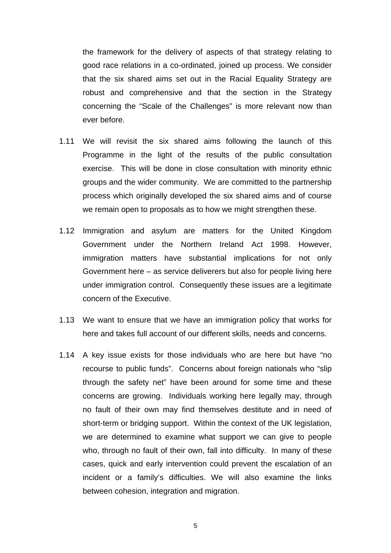the framework for the delivery of aspects of that strategy relating to good race relations in a co-ordinated, joined up process. We consider that the six shared aims set out in the Racial Equality Strategy are robust and comprehensive and that the section in the Strategy concerning the "Scale of the Challenges" is more relevant now than ever before.

- 1.11 We will revisit the six shared aims following the launch of this Programme in the light of the results of the public consultation exercise. This will be done in close consultation with minority ethnic groups and the wider community. We are committed to the partnership process which originally developed the six shared aims and of course we remain open to proposals as to how we might strengthen these.
- 1.12 Immigration and asylum are matters for the United Kingdom Government under the Northern Ireland Act 1998. However, immigration matters have substantial implications for not only Government here – as service deliverers but also for people living here under immigration control. Consequently these issues are a legitimate concern of the Executive.
- 1.13 We want to ensure that we have an immigration policy that works for here and takes full account of our different skills, needs and concerns.
- 1.14 A key issue exists for those individuals who are here but have "no recourse to public funds". Concerns about foreign nationals who "slip through the safety net" have been around for some time and these concerns are growing. Individuals working here legally may, through no fault of their own may find themselves destitute and in need of short-term or bridging support. Within the context of the UK legislation, we are determined to examine what support we can give to people who, through no fault of their own, fall into difficulty. In many of these cases, quick and early intervention could prevent the escalation of an incident or a family's difficulties. We will also examine the links between cohesion, integration and migration.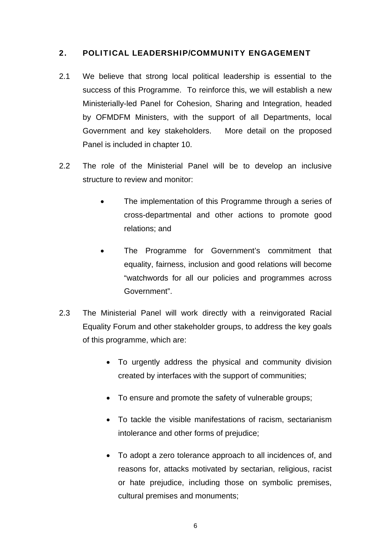#### 2. POLITICAL LEADERSHIP/COMMUNITY ENGAGEMENT

- 2.1 We believe that strong local political leadership is essential to the success of this Programme. To reinforce this, we will establish a new Ministerially-led Panel for Cohesion, Sharing and Integration, headed by OFMDFM Ministers, with the support of all Departments, local Government and key stakeholders. More detail on the proposed Panel is included in chapter 10.
- 2.2 The role of the Ministerial Panel will be to develop an inclusive structure to review and monitor:
	- The implementation of this Programme through a series of cross-departmental and other actions to promote good relations; and
	- The Programme for Government's commitment that equality, fairness, inclusion and good relations will become "watchwords for all our policies and programmes across Government".
- 2.3 The Ministerial Panel will work directly with a reinvigorated Racial Equality Forum and other stakeholder groups, to address the key goals of this programme, which are:
	- To urgently address the physical and community division created by interfaces with the support of communities;
	- To ensure and promote the safety of vulnerable groups;
	- To tackle the visible manifestations of racism, sectarianism intolerance and other forms of prejudice;
	- To adopt a zero tolerance approach to all incidences of, and reasons for, attacks motivated by sectarian, religious, racist or hate prejudice, including those on symbolic premises, cultural premises and monuments;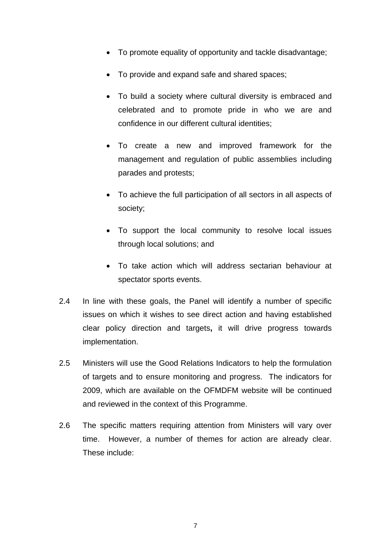- To promote equality of opportunity and tackle disadvantage;
- To provide and expand safe and shared spaces;
- To build a society where cultural diversity is embraced and celebrated and to promote pride in who we are and confidence in our different cultural identities;
- To create a new and improved framework for the management and regulation of public assemblies including parades and protests;
- To achieve the full participation of all sectors in all aspects of society;
- To support the local community to resolve local issues through local solutions; and
- To take action which will address sectarian behaviour at spectator sports events.
- 2.4 In line with these goals, the Panel will identify a number of specific issues on which it wishes to see direct action and having established clear policy direction and targets**,** it will drive progress towards implementation.
- 2.5 Ministers will use the Good Relations Indicators to help the formulation of targets and to ensure monitoring and progress. The indicators for 2009, which are available on the OFMDFM website will be continued and reviewed in the context of this Programme.
- 2.6 The specific matters requiring attention from Ministers will vary over time. However, a number of themes for action are already clear. These include: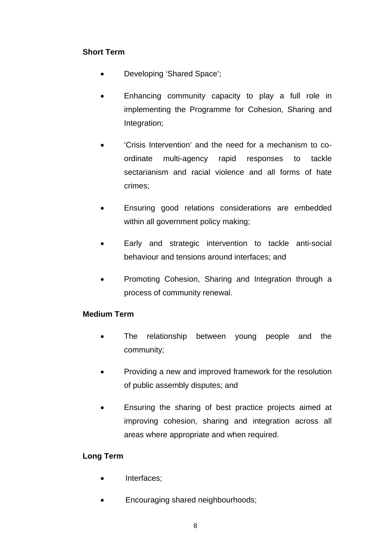# **Short Term**

- Developing 'Shared Space';
- Enhancing community capacity to play a full role in implementing the Programme for Cohesion, Sharing and Integration;
- 'Crisis Intervention' and the need for a mechanism to coordinate multi-agency rapid responses to tackle sectarianism and racial violence and all forms of hate crimes;
- Ensuring good relations considerations are embedded within all government policy making;
- Early and strategic intervention to tackle anti-social behaviour and tensions around interfaces; and
- Promoting Cohesion, Sharing and Integration through a process of community renewal.

#### **Medium Term**

- The relationship between young people and the community;
- Providing a new and improved framework for the resolution of public assembly disputes; and
- Ensuring the sharing of best practice projects aimed at improving cohesion, sharing and integration across all areas where appropriate and when required.

#### **Long Term**

- Interfaces;
- Encouraging shared neighbourhoods;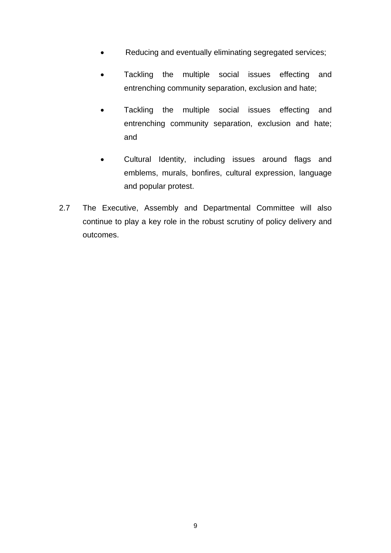- Reducing and eventually eliminating segregated services;
- Tackling the multiple social issues effecting and entrenching community separation, exclusion and hate;
- Tackling the multiple social issues effecting and entrenching community separation, exclusion and hate; and
- Cultural Identity, including issues around flags and emblems, murals, bonfires, cultural expression, language and popular protest.
- 2.7 The Executive, Assembly and Departmental Committee will also continue to play a key role in the robust scrutiny of policy delivery and outcomes.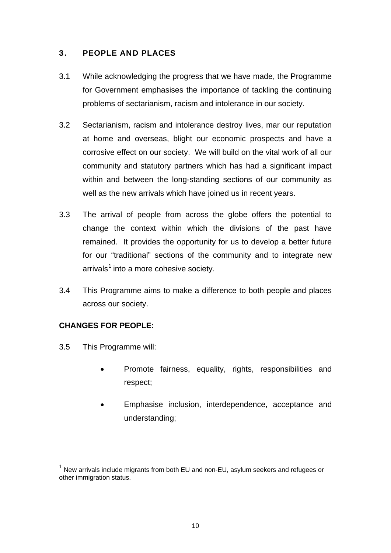# 3. PEOPLE AND PLACES

- 3.1 While acknowledging the progress that we have made, the Programme for Government emphasises the importance of tackling the continuing problems of sectarianism, racism and intolerance in our society.
- 3.2 Sectarianism, racism and intolerance destroy lives, mar our reputation at home and overseas, blight our economic prospects and have a corrosive effect on our society. We will build on the vital work of all our community and statutory partners which has had a significant impact within and between the long-standing sections of our community as well as the new arrivals which have joined us in recent years.
- 3.3 The arrival of people from across the globe offers the potential to change the context within which the divisions of the past have remained. It provides the opportunity for us to develop a better future for our "traditional" sections of the community and to integrate new  $arrivals<sup>1</sup>$  $arrivals<sup>1</sup>$  $arrivals<sup>1</sup>$  into a more cohesive society.
- 3.4 This Programme aims to make a difference to both people and places across our society.

#### **CHANGES FOR PEOPLE:**

3.5 This Programme will:

1

- Promote fairness, equality, rights, responsibilities and respect;
- Emphasise inclusion, interdependence, acceptance and understanding;

<span id="page-11-0"></span> $1$  New arrivals include migrants from both EU and non-EU, asylum seekers and refugees or other immigration status.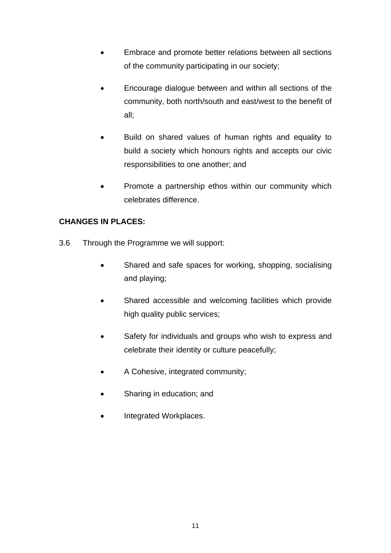- Embrace and promote better relations between all sections of the community participating in our society;
- Encourage dialogue between and within all sections of the community, both north/south and east/west to the benefit of all;
- Build on shared values of human rights and equality to build a society which honours rights and accepts our civic responsibilities to one another; and
- Promote a partnership ethos within our community which celebrates difference.

# **CHANGES IN PLACES:**

- 3.6 Through the Programme we will support:
	- Shared and safe spaces for working, shopping, socialising and playing;
	- Shared accessible and welcoming facilities which provide high quality public services;
	- Safety for individuals and groups who wish to express and celebrate their identity or culture peacefully;
	- A Cohesive, integrated community;
	- Sharing in education; and
	- Integrated Workplaces.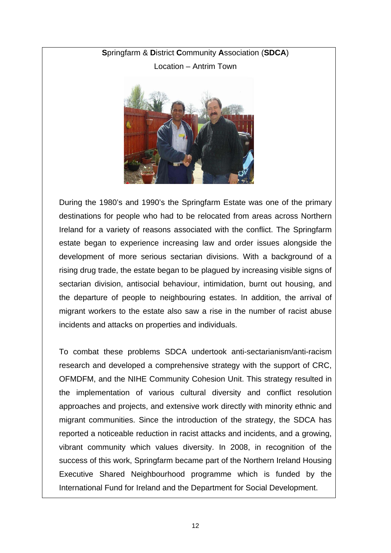# **S**pringfarm & **D**istrict **C**ommunity **A**ssociation (**SDCA**) Location – Antrim Town



During the 1980's and 1990's the Springfarm Estate was one of the primary destinations for people who had to be relocated from areas across Northern Ireland for a variety of reasons associated with the conflict. The Springfarm estate began to experience increasing law and order issues alongside the development of more serious sectarian divisions. With a background of a rising drug trade, the estate began to be plagued by increasing visible signs of sectarian division, antisocial behaviour, intimidation, burnt out housing, and the departure of people to neighbouring estates. In addition, the arrival of migrant workers to the estate also saw a rise in the number of racist abuse incidents and attacks on properties and individuals.

To combat these problems SDCA undertook anti-sectarianism/anti-racism research and developed a comprehensive strategy with the support of CRC, OFMDFM, and the NIHE Community Cohesion Unit. This strategy resulted in the implementation of various cultural diversity and conflict resolution approaches and projects, and extensive work directly with minority ethnic and migrant communities. Since the introduction of the strategy, the SDCA has reported a noticeable reduction in racist attacks and incidents, and a growing, vibrant community which values diversity. In 2008, in recognition of the success of this work, Springfarm became part of the Northern Ireland Housing Executive Shared Neighbourhood programme which is funded by the International Fund for Ireland and the Department for Social Development.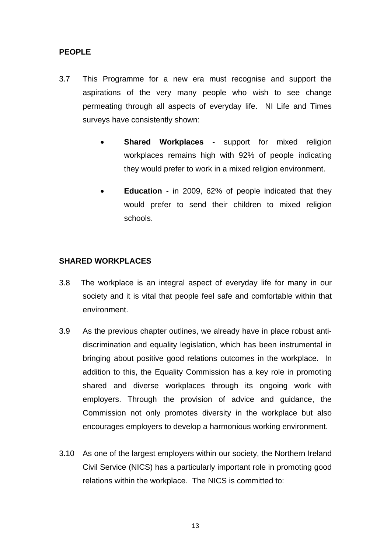#### **PEOPLE**

- 3.7 This Programme for a new era must recognise and support the aspirations of the very many people who wish to see change permeating through all aspects of everyday life. NI Life and Times surveys have consistently shown:
	- **Shared Workplaces support for mixed religion** workplaces remains high with 92% of people indicating they would prefer to work in a mixed religion environment.
	- **Education** in 2009, 62% of people indicated that they would prefer to send their children to mixed religion schools.

#### **SHARED WORKPLACES**

- 3.8 The workplace is an integral aspect of everyday life for many in our society and it is vital that people feel safe and comfortable within that environment.
- 3.9 As the previous chapter outlines, we already have in place robust antidiscrimination and equality legislation, which has been instrumental in bringing about positive good relations outcomes in the workplace. In addition to this, the Equality Commission has a key role in promoting shared and diverse workplaces through its ongoing work with employers. Through the provision of advice and guidance, the Commission not only promotes diversity in the workplace but also encourages employers to develop a harmonious working environment.
- 3.10 As one of the largest employers within our society, the Northern Ireland Civil Service (NICS) has a particularly important role in promoting good relations within the workplace. The NICS is committed to: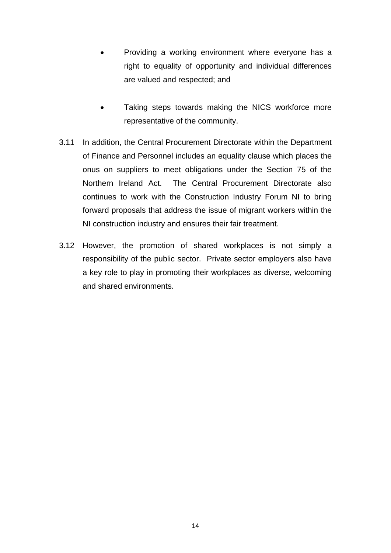- Providing a working environment where everyone has a right to equality of opportunity and individual differences are valued and respected; and
- Taking steps towards making the NICS workforce more representative of the community.
- 3.11 In addition, the Central Procurement Directorate within the Department of Finance and Personnel includes an equality clause which places the onus on suppliers to meet obligations under the Section 75 of the Northern Ireland Act. The Central Procurement Directorate also continues to work with the Construction Industry Forum NI to bring forward proposals that address the issue of migrant workers within the NI construction industry and ensures their fair treatment.
- 3.12 However, the promotion of shared workplaces is not simply a responsibility of the public sector. Private sector employers also have a key role to play in promoting their workplaces as diverse, welcoming and shared environments.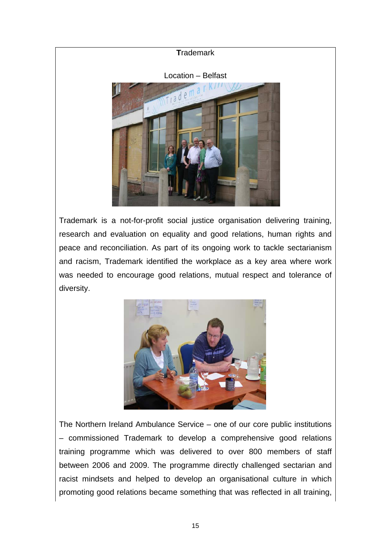

Trademark is a not-for-profit social justice organisation delivering training, research and evaluation on equality and good relations, human rights and peace and reconciliation. As part of its ongoing work to tackle sectarianism and racism, Trademark identified the workplace as a key area where work was needed to encourage good relations, mutual respect and tolerance of diversity.



The Northern Ireland Ambulance Service – one of our core public institutions – commissioned Trademark to develop a comprehensive good relations training programme which was delivered to over 800 members of staff between 2006 and 2009. The programme directly challenged sectarian and racist mindsets and helped to develop an organisational culture in which promoting good relations became something that was reflected in all training,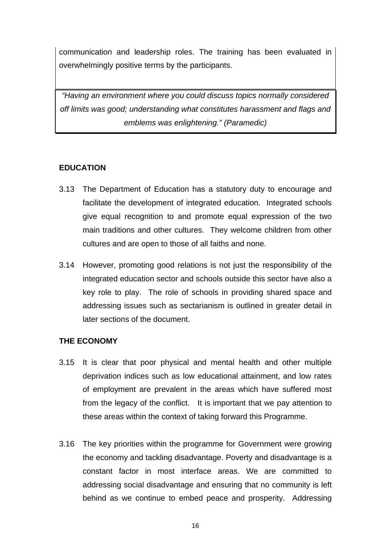communication and leadership roles. The training has been evaluated in overwhelmingly positive terms by the participants.

*"Having an environment where you could discuss topics normally considered off limits was good; understanding what constitutes harassment and flags and emblems was enlightening." (Paramedic)* 

#### **EDUCATION**

- 3.13 The Department of Education has a statutory duty to encourage and facilitate the development of integrated education. Integrated schools give equal recognition to and promote equal expression of the two main traditions and other cultures. They welcome children from other cultures and are open to those of all faiths and none.
- 3.14 However, promoting good relations is not just the responsibility of the integrated education sector and schools outside this sector have also a key role to play. The role of schools in providing shared space and addressing issues such as sectarianism is outlined in greater detail in later sections of the document.

#### **THE ECONOMY**

- 3.15 It is clear that poor physical and mental health and other multiple deprivation indices such as low educational attainment, and low rates of employment are prevalent in the areas which have suffered most from the legacy of the conflict. It is important that we pay attention to these areas within the context of taking forward this Programme.
- 3.16 The key priorities within the programme for Government were growing the economy and tackling disadvantage. Poverty and disadvantage is a constant factor in most interface areas. We are committed to addressing social disadvantage and ensuring that no community is left behind as we continue to embed peace and prosperity. Addressing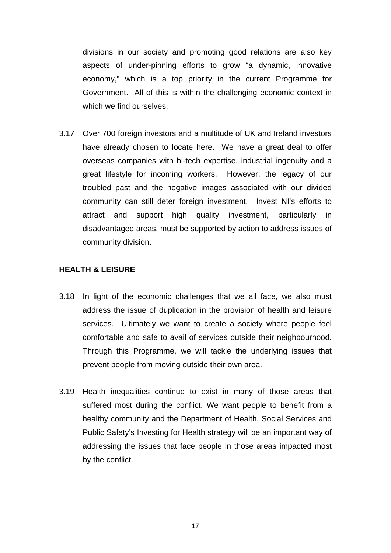divisions in our society and promoting good relations are also key aspects of under-pinning efforts to grow "a dynamic, innovative economy," which is a top priority in the current Programme for Government. All of this is within the challenging economic context in which we find ourselves.

3.17 Over 700 foreign investors and a multitude of UK and Ireland investors have already chosen to locate here. We have a great deal to offer overseas companies with hi-tech expertise, industrial ingenuity and a great lifestyle for incoming workers. However, the legacy of our troubled past and the negative images associated with our divided community can still deter foreign investment. Invest NI's efforts to attract and support high quality investment, particularly in disadvantaged areas, must be supported by action to address issues of community division.

#### **HEALTH & LEISURE**

- 3.18 In light of the economic challenges that we all face, we also must address the issue of duplication in the provision of health and leisure services. Ultimately we want to create a society where people feel comfortable and safe to avail of services outside their neighbourhood. Through this Programme, we will tackle the underlying issues that prevent people from moving outside their own area.
- 3.19 Health inequalities continue to exist in many of those areas that suffered most during the conflict. We want people to benefit from a healthy community and the Department of Health, Social Services and Public Safety's Investing for Health strategy will be an important way of addressing the issues that face people in those areas impacted most by the conflict.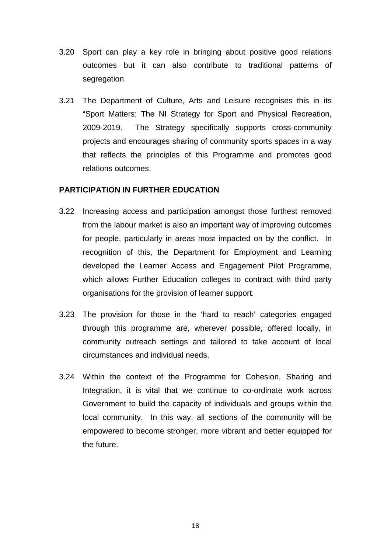- 3.20 Sport can play a key role in bringing about positive good relations outcomes but it can also contribute to traditional patterns of segregation.
- 3.21 The Department of Culture, Arts and Leisure recognises this in its "Sport Matters: The NI Strategy for Sport and Physical Recreation, 2009-2019. The Strategy specifically supports cross-community projects and encourages sharing of community sports spaces in a way that reflects the principles of this Programme and promotes good relations outcomes.

#### **PARTICIPATION IN FURTHER EDUCATION**

- 3.22 Increasing access and participation amongst those furthest removed from the labour market is also an important way of improving outcomes for people, particularly in areas most impacted on by the conflict. In recognition of this, the Department for Employment and Learning developed the Learner Access and Engagement Pilot Programme, which allows Further Education colleges to contract with third party organisations for the provision of learner support.
- 3.23 The provision for those in the 'hard to reach' categories engaged through this programme are, wherever possible, offered locally, in community outreach settings and tailored to take account of local circumstances and individual needs.
- 3.24 Within the context of the Programme for Cohesion, Sharing and Integration, it is vital that we continue to co-ordinate work across Government to build the capacity of individuals and groups within the local community. In this way, all sections of the community will be empowered to become stronger, more vibrant and better equipped for the future.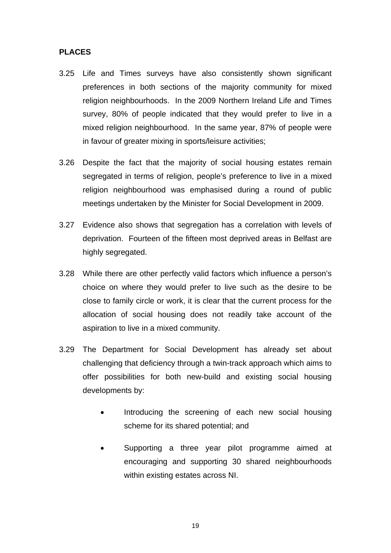#### **PLACES**

- 3.25 Life and Times surveys have also consistently shown significant preferences in both sections of the majority community for mixed religion neighbourhoods. In the 2009 Northern Ireland Life and Times survey, 80% of people indicated that they would prefer to live in a mixed religion neighbourhood. In the same year, 87% of people were in favour of greater mixing in sports/leisure activities;
- 3.26 Despite the fact that the majority of social housing estates remain segregated in terms of religion, people's preference to live in a mixed religion neighbourhood was emphasised during a round of public meetings undertaken by the Minister for Social Development in 2009.
- 3.27 Evidence also shows that segregation has a correlation with levels of deprivation. Fourteen of the fifteen most deprived areas in Belfast are highly segregated.
- 3.28 While there are other perfectly valid factors which influence a person's choice on where they would prefer to live such as the desire to be close to family circle or work, it is clear that the current process for the allocation of social housing does not readily take account of the aspiration to live in a mixed community.
- 3.29 The Department for Social Development has already set about challenging that deficiency through a twin-track approach which aims to offer possibilities for both new-build and existing social housing developments by:
	- Introducing the screening of each new social housing scheme for its shared potential; and
	- Supporting a three year pilot programme aimed at encouraging and supporting 30 shared neighbourhoods within existing estates across NI.

19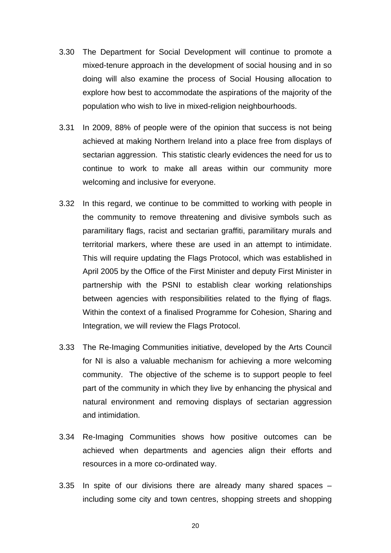- 3.30 The Department for Social Development will continue to promote a mixed-tenure approach in the development of social housing and in so doing will also examine the process of Social Housing allocation to explore how best to accommodate the aspirations of the majority of the population who wish to live in mixed-religion neighbourhoods.
- 3.31 In 2009, 88% of people were of the opinion that success is not being achieved at making Northern Ireland into a place free from displays of sectarian aggression. This statistic clearly evidences the need for us to continue to work to make all areas within our community more welcoming and inclusive for everyone.
- 3.32 In this regard, we continue to be committed to working with people in the community to remove threatening and divisive symbols such as paramilitary flags, racist and sectarian graffiti, paramilitary murals and territorial markers, where these are used in an attempt to intimidate. This will require updating the Flags Protocol, which was established in April 2005 by the Office of the First Minister and deputy First Minister in partnership with the PSNI to establish clear working relationships between agencies with responsibilities related to the flying of flags. Within the context of a finalised Programme for Cohesion, Sharing and Integration, we will review the Flags Protocol.
- 3.33 The Re-Imaging Communities initiative, developed by the Arts Council for NI is also a valuable mechanism for achieving a more welcoming community. The objective of the scheme is to support people to feel part of the community in which they live by enhancing the physical and natural environment and removing displays of sectarian aggression and intimidation.
- 3.34 Re-Imaging Communities shows how positive outcomes can be achieved when departments and agencies align their efforts and resources in a more co-ordinated way.
- 3.35 In spite of our divisions there are already many shared spaces including some city and town centres, shopping streets and shopping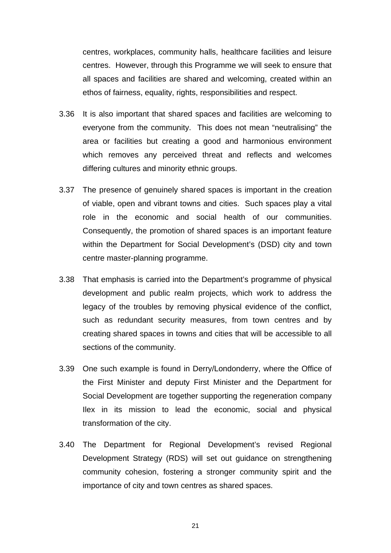centres, workplaces, community halls, healthcare facilities and leisure centres. However, through this Programme we will seek to ensure that all spaces and facilities are shared and welcoming, created within an ethos of fairness, equality, rights, responsibilities and respect.

- 3.36 It is also important that shared spaces and facilities are welcoming to everyone from the community. This does not mean "neutralising" the area or facilities but creating a good and harmonious environment which removes any perceived threat and reflects and welcomes differing cultures and minority ethnic groups.
- 3.37 The presence of genuinely shared spaces is important in the creation of viable, open and vibrant towns and cities. Such spaces play a vital role in the economic and social health of our communities. Consequently, the promotion of shared spaces is an important feature within the Department for Social Development's (DSD) city and town centre master-planning programme.
- 3.38 That emphasis is carried into the Department's programme of physical development and public realm projects, which work to address the legacy of the troubles by removing physical evidence of the conflict, such as redundant security measures, from town centres and by creating shared spaces in towns and cities that will be accessible to all sections of the community.
- 3.39 One such example is found in Derry/Londonderry, where the Office of the First Minister and deputy First Minister and the Department for Social Development are together supporting the regeneration company Ilex in its mission to lead the economic, social and physical transformation of the city.
- 3.40 The Department for Regional Development's revised Regional Development Strategy (RDS) will set out guidance on strengthening community cohesion, fostering a stronger community spirit and the importance of city and town centres as shared spaces.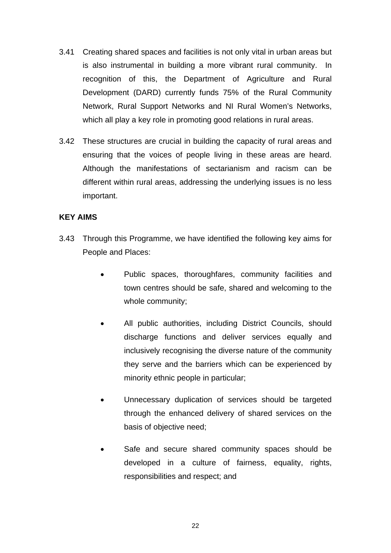- 3.41 Creating shared spaces and facilities is not only vital in urban areas but is also instrumental in building a more vibrant rural community. In recognition of this, the Department of Agriculture and Rural Development (DARD) currently funds 75% of the Rural Community Network, Rural Support Networks and NI Rural Women's Networks, which all play a key role in promoting good relations in rural areas.
- 3.42 These structures are crucial in building the capacity of rural areas and ensuring that the voices of people living in these areas are heard. Although the manifestations of sectarianism and racism can be different within rural areas, addressing the underlying issues is no less important.

#### **KEY AIMS**

- 3.43 Through this Programme, we have identified the following key aims for People and Places:
	- Public spaces, thoroughfares, community facilities and town centres should be safe, shared and welcoming to the whole community;
	- All public authorities, including District Councils, should discharge functions and deliver services equally and inclusively recognising the diverse nature of the community they serve and the barriers which can be experienced by minority ethnic people in particular;
	- Unnecessary duplication of services should be targeted through the enhanced delivery of shared services on the basis of objective need;
	- Safe and secure shared community spaces should be developed in a culture of fairness, equality, rights, responsibilities and respect; and

22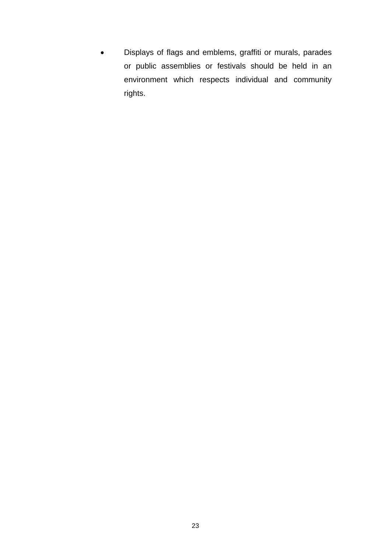• Displays of flags and emblems, graffiti or murals, parades or public assemblies or festivals should be held in an environment which respects individual and community rights.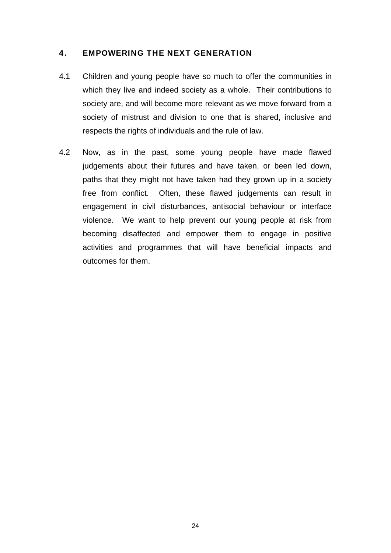#### 4. EMPOWERING THE NEXT GENERATION

- 4.1 Children and young people have so much to offer the communities in which they live and indeed society as a whole. Their contributions to society are, and will become more relevant as we move forward from a society of mistrust and division to one that is shared, inclusive and respects the rights of individuals and the rule of law.
- 4.2 Now, as in the past, some young people have made flawed judgements about their futures and have taken, or been led down, paths that they might not have taken had they grown up in a society free from conflict. Often, these flawed judgements can result in engagement in civil disturbances, antisocial behaviour or interface violence. We want to help prevent our young people at risk from becoming disaffected and empower them to engage in positive activities and programmes that will have beneficial impacts and outcomes for them.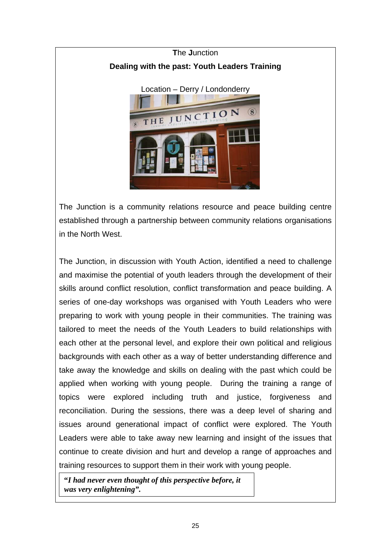

The Junction is a community relations resource and peace building centre established through a partnership between community relations organisations in the North West.

The Junction, in discussion with Youth Action, identified a need to challenge and maximise the potential of youth leaders through the development of their skills around conflict resolution, conflict transformation and peace building. A series of one-day workshops was organised with Youth Leaders who were preparing to work with young people in their communities. The training was tailored to meet the needs of the Youth Leaders to build relationships with each other at the personal level, and explore their own political and religious backgrounds with each other as a way of better understanding difference and take away the knowledge and skills on dealing with the past which could be applied when working with young people. During the training a range of topics were explored including truth and justice, forgiveness and reconciliation. During the sessions, there was a deep level of sharing and issues around generational impact of conflict were explored. The Youth Leaders were able to take away new learning and insight of the issues that continue to create division and hurt and develop a range of approaches and training resources to support them in their work with young people.

**"***I had never even thought of this perspective before, it was very enlightening".*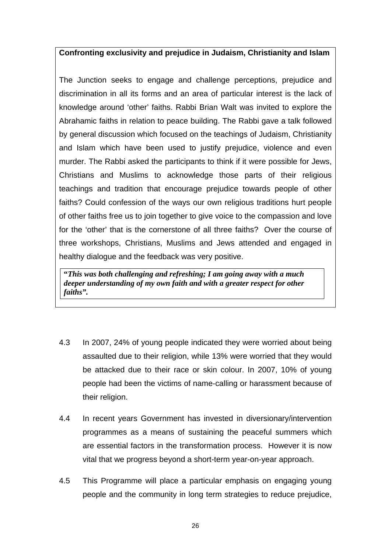#### **Confronting exclusivity and prejudice in Judaism, Christianity and Islam**

The Junction seeks to engage and challenge perceptions, prejudice and discrimination in all its forms and an area of particular interest is the lack of knowledge around 'other' faiths. Rabbi Brian Walt was invited to explore the Abrahamic faiths in relation to peace building. The Rabbi gave a talk followed by general discussion which focused on the teachings of Judaism, Christianity and Islam which have been used to justify prejudice, violence and even murder. The Rabbi asked the participants to think if it were possible for Jews, Christians and Muslims to acknowledge those parts of their religious teachings and tradition that encourage prejudice towards people of other faiths? Could confession of the ways our own religious traditions hurt people of other faiths free us to join together to give voice to the compassion and love for the 'other' that is the cornerstone of all three faiths? Over the course of three workshops, Christians, Muslims and Jews attended and engaged in healthy dialogue and the feedback was very positive.

**"***This was both challenging and refreshing; I am going away with a much deeper understanding of my own faith and with a greater respect for other faiths".*

- 4.3 In 2007, 24% of young people indicated they were worried about being assaulted due to their religion, while 13% were worried that they would be attacked due to their race or skin colour. In 2007, 10% of young people had been the victims of name-calling or harassment because of their religion.
- 4.4 In recent years Government has invested in diversionary/intervention programmes as a means of sustaining the peaceful summers which are essential factors in the transformation process. However it is now vital that we progress beyond a short-term year-on-year approach.
- 4.5 This Programme will place a particular emphasis on engaging young people and the community in long term strategies to reduce prejudice,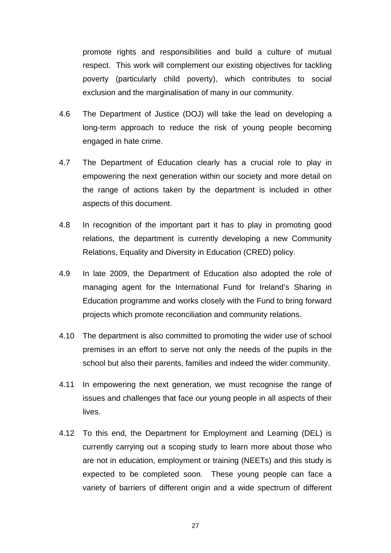promote rights and responsibilities and build a culture of mutual respect. This work will complement our existing objectives for tackling poverty (particularly child poverty), which contributes to social exclusion and the marginalisation of many in our community.

- 4.6 The Department of Justice (DOJ) will take the lead on developing a long-term approach to reduce the risk of young people becoming engaged in hate crime.
- 4.7 The Department of Education clearly has a crucial role to play in empowering the next generation within our society and more detail on the range of actions taken by the department is included in other aspects of this document.
- 4.8 In recognition of the important part it has to play in promoting good relations, the department is currently developing a new Community Relations, Equality and Diversity in Education (CRED) policy.
- 4.9 In late 2009, the Department of Education also adopted the role of managing agent for the International Fund for Ireland's Sharing in Education programme and works closely with the Fund to bring forward projects which promote reconciliation and community relations.
- 4.10 The department is also committed to promoting the wider use of school premises in an effort to serve not only the needs of the pupils in the school but also their parents, families and indeed the wider community.
- 4.11 In empowering the next generation, we must recognise the range of issues and challenges that face our young people in all aspects of their lives.
- 4.12 To this end, the Department for Employment and Learning (DEL) is currently carrying out a scoping study to learn more about those who are not in education, employment or training (NEETs) and this study is expected to be completed soon. These young people can face a variety of barriers of different origin and a wide spectrum of different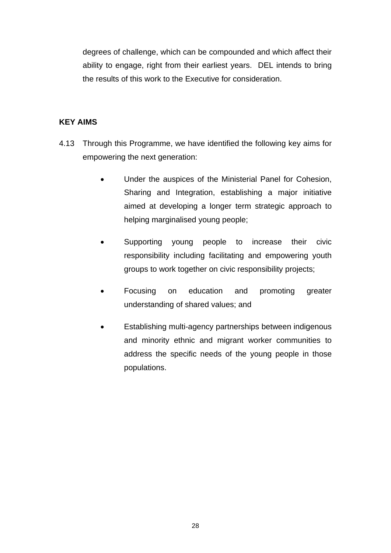degrees of challenge, which can be compounded and which affect their ability to engage, right from their earliest years. DEL intends to bring the results of this work to the Executive for consideration.

#### **KEY AIMS**

- 4.13 Through this Programme, we have identified the following key aims for empowering the next generation:
	- Under the auspices of the Ministerial Panel for Cohesion, Sharing and Integration, establishing a major initiative aimed at developing a longer term strategic approach to helping marginalised young people;
	- Supporting young people to increase their civic responsibility including facilitating and empowering youth groups to work together on civic responsibility projects;
	- Focusing on education and promoting greater understanding of shared values; and
	- Establishing multi-agency partnerships between indigenous and minority ethnic and migrant worker communities to address the specific needs of the young people in those populations.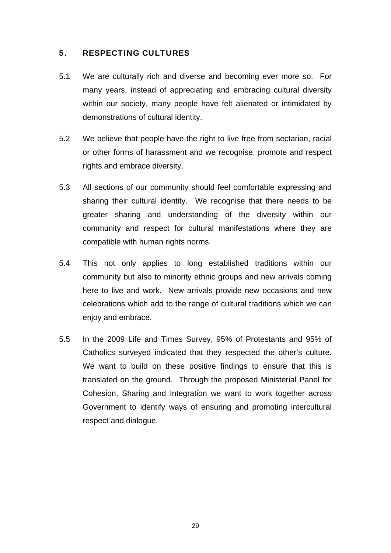#### 5. RESPECTING CULTURES

- 5.1 We are culturally rich and diverse and becoming ever more so. For many years, instead of appreciating and embracing cultural diversity within our society, many people have felt alienated or intimidated by demonstrations of cultural identity.
- 5.2 We believe that people have the right to live free from sectarian, racial or other forms of harassment and we recognise, promote and respect rights and embrace diversity.
- 5.3 All sections of our community should feel comfortable expressing and sharing their cultural identity. We recognise that there needs to be greater sharing and understanding of the diversity within our community and respect for cultural manifestations where they are compatible with human rights norms.
- 5.4 This not only applies to long established traditions within our community but also to minority ethnic groups and new arrivals coming here to live and work. New arrivals provide new occasions and new celebrations which add to the range of cultural traditions which we can enjoy and embrace.
- 5.5 In the 2009 Life and Times Survey, 95% of Protestants and 95% of Catholics surveyed indicated that they respected the other's culture. We want to build on these positive findings to ensure that this is translated on the ground. Through the proposed Ministerial Panel for Cohesion, Sharing and Integration we want to work together across Government to identify ways of ensuring and promoting intercultural respect and dialogue.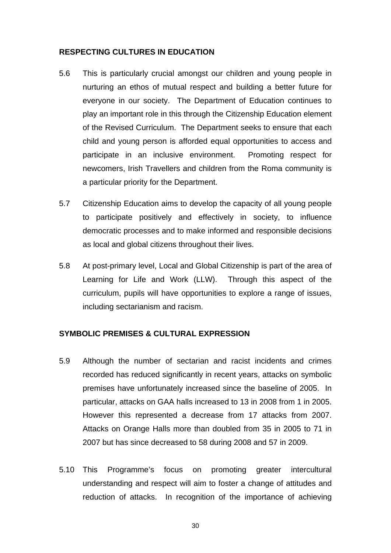#### **RESPECTING CULTURES IN EDUCATION**

- 5.6 This is particularly crucial amongst our children and young people in nurturing an ethos of mutual respect and building a better future for everyone in our society. The Department of Education continues to play an important role in this through the Citizenship Education element of the Revised Curriculum. The Department seeks to ensure that each child and young person is afforded equal opportunities to access and participate in an inclusive environment. Promoting respect for newcomers, Irish Travellers and children from the Roma community is a particular priority for the Department.
- 5.7 Citizenship Education aims to develop the capacity of all young people to participate positively and effectively in society, to influence democratic processes and to make informed and responsible decisions as local and global citizens throughout their lives.
- 5.8 At post-primary level, Local and Global Citizenship is part of the area of Learning for Life and Work (LLW). Through this aspect of the curriculum, pupils will have opportunities to explore a range of issues, including sectarianism and racism.

#### **SYMBOLIC PREMISES & CULTURAL EXPRESSION**

- 5.9 Although the number of sectarian and racist incidents and crimes recorded has reduced significantly in recent years, attacks on symbolic premises have unfortunately increased since the baseline of 2005. In particular, attacks on GAA halls increased to 13 in 2008 from 1 in 2005. However this represented a decrease from 17 attacks from 2007. Attacks on Orange Halls more than doubled from 35 in 2005 to 71 in 2007 but has since decreased to 58 during 2008 and 57 in 2009.
- 5.10 This Programme's focus on promoting greater intercultural understanding and respect will aim to foster a change of attitudes and reduction of attacks. In recognition of the importance of achieving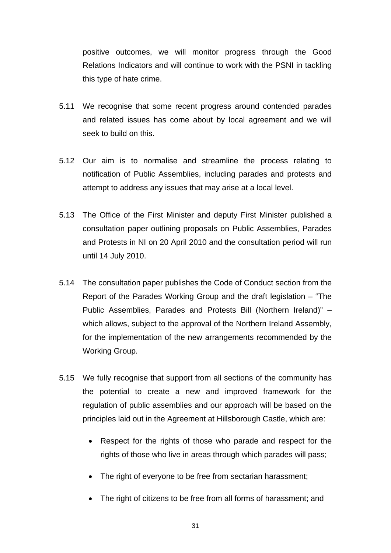positive outcomes, we will monitor progress through the Good Relations Indicators and will continue to work with the PSNI in tackling this type of hate crime.

- 5.11 We recognise that some recent progress around contended parades and related issues has come about by local agreement and we will seek to build on this.
- 5.12 Our aim is to normalise and streamline the process relating to notification of Public Assemblies, including parades and protests and attempt to address any issues that may arise at a local level.
- 5.13 The Office of the First Minister and deputy First Minister published a consultation paper outlining proposals on Public Assemblies, Parades and Protests in NI on 20 April 2010 and the consultation period will run until 14 July 2010.
- 5.14 The consultation paper publishes the Code of Conduct section from the Report of the Parades Working Group and the draft legislation – "The Public Assemblies, Parades and Protests Bill (Northern Ireland)" – which allows, subject to the approval of the Northern Ireland Assembly, for the implementation of the new arrangements recommended by the Working Group.
- 5.15 We fully recognise that support from all sections of the community has the potential to create a new and improved framework for the regulation of public assemblies and our approach will be based on the principles laid out in the Agreement at Hillsborough Castle, which are:
	- Respect for the rights of those who parade and respect for the rights of those who live in areas through which parades will pass;
	- The right of everyone to be free from sectarian harassment;
	- The right of citizens to be free from all forms of harassment; and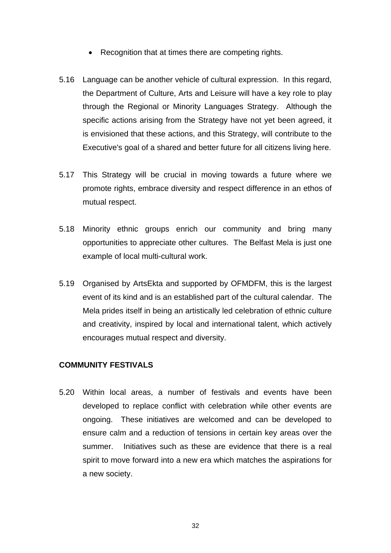- Recognition that at times there are competing rights.
- 5.16 Language can be another vehicle of cultural expression. In this regard, the Department of Culture, Arts and Leisure will have a key role to play through the Regional or Minority Languages Strategy. Although the specific actions arising from the Strategy have not yet been agreed, it is envisioned that these actions, and this Strategy, will contribute to the Executive's goal of a shared and better future for all citizens living here.
- 5.17 This Strategy will be crucial in moving towards a future where we promote rights, embrace diversity and respect difference in an ethos of mutual respect.
- 5.18 Minority ethnic groups enrich our community and bring many opportunities to appreciate other cultures. The Belfast Mela is just one example of local multi-cultural work.
- 5.19 Organised by ArtsEkta and supported by OFMDFM, this is the largest event of its kind and is an established part of the cultural calendar. The Mela prides itself in being an artistically led celebration of ethnic culture and creativity, inspired by local and international talent, which actively encourages mutual respect and diversity.

#### **COMMUNITY FESTIVALS**

5.20 Within local areas, a number of festivals and events have been developed to replace conflict with celebration while other events are ongoing. These initiatives are welcomed and can be developed to ensure calm and a reduction of tensions in certain key areas over the summer. Initiatives such as these are evidence that there is a real spirit to move forward into a new era which matches the aspirations for a new society.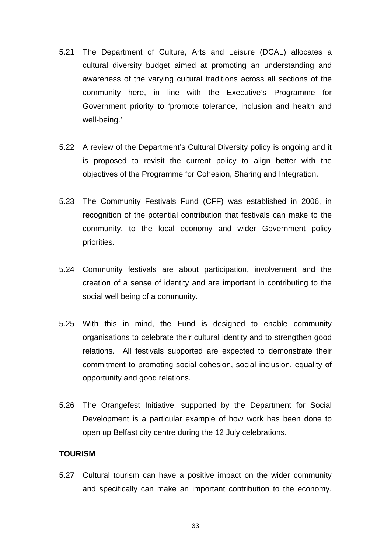- 5.21 The Department of Culture, Arts and Leisure (DCAL) allocates a cultural diversity budget aimed at promoting an understanding and awareness of the varying cultural traditions across all sections of the community here, in line with the Executive's Programme for Government priority to 'promote tolerance, inclusion and health and well-being.'
- 5.22 A review of the Department's Cultural Diversity policy is ongoing and it is proposed to revisit the current policy to align better with the objectives of the Programme for Cohesion, Sharing and Integration.
- 5.23 The Community Festivals Fund (CFF) was established in 2006, in recognition of the potential contribution that festivals can make to the community, to the local economy and wider Government policy priorities.
- 5.24 Community festivals are about participation, involvement and the creation of a sense of identity and are important in contributing to the social well being of a community.
- 5.25 With this in mind, the Fund is designed to enable community organisations to celebrate their cultural identity and to strengthen good relations. All festivals supported are expected to demonstrate their commitment to promoting social cohesion, social inclusion, equality of opportunity and good relations.
- 5.26 The Orangefest Initiative, supported by the Department for Social Development is a particular example of how work has been done to open up Belfast city centre during the 12 July celebrations.

#### **TOURISM**

5.27 Cultural tourism can have a positive impact on the wider community and specifically can make an important contribution to the economy.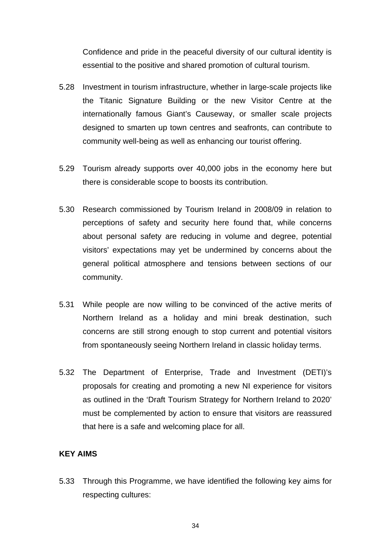Confidence and pride in the peaceful diversity of our cultural identity is essential to the positive and shared promotion of cultural tourism.

- 5.28 Investment in tourism infrastructure, whether in large-scale projects like the Titanic Signature Building or the new Visitor Centre at the internationally famous Giant's Causeway, or smaller scale projects designed to smarten up town centres and seafronts, can contribute to community well-being as well as enhancing our tourist offering.
- 5.29 Tourism already supports over 40,000 jobs in the economy here but there is considerable scope to boosts its contribution.
- 5.30 Research commissioned by Tourism Ireland in 2008/09 in relation to perceptions of safety and security here found that, while concerns about personal safety are reducing in volume and degree, potential visitors' expectations may yet be undermined by concerns about the general political atmosphere and tensions between sections of our community.
- 5.31 While people are now willing to be convinced of the active merits of Northern Ireland as a holiday and mini break destination, such concerns are still strong enough to stop current and potential visitors from spontaneously seeing Northern Ireland in classic holiday terms.
- 5.32 The Department of Enterprise, Trade and Investment (DETI)'s proposals for creating and promoting a new NI experience for visitors as outlined in the 'Draft Tourism Strategy for Northern Ireland to 2020' must be complemented by action to ensure that visitors are reassured that here is a safe and welcoming place for all.

#### **KEY AIMS**

5.33 Through this Programme, we have identified the following key aims for respecting cultures: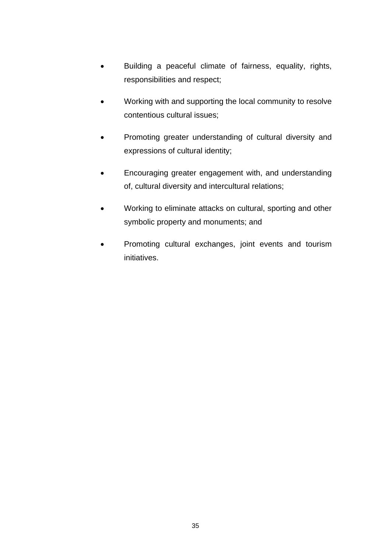- Building a peaceful climate of fairness, equality, rights, responsibilities and respect;
- Working with and supporting the local community to resolve contentious cultural issues;
- Promoting greater understanding of cultural diversity and expressions of cultural identity;
- Encouraging greater engagement with, and understanding of, cultural diversity and intercultural relations;
- Working to eliminate attacks on cultural, sporting and other symbolic property and monuments; and
- Promoting cultural exchanges, joint events and tourism initiatives.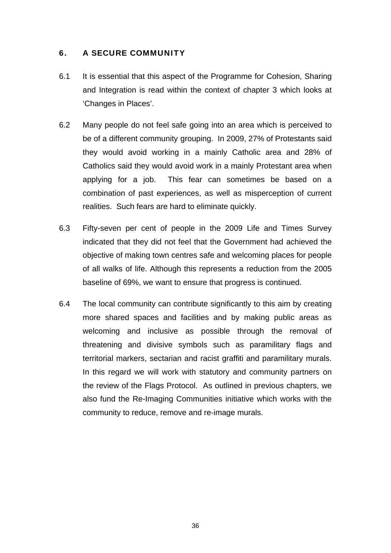## 6. A SECURE COMMUNITY

- 6.1 It is essential that this aspect of the Programme for Cohesion, Sharing and Integration is read within the context of chapter 3 which looks at 'Changes in Places'.
- 6.2 Many people do not feel safe going into an area which is perceived to be of a different community grouping. In 2009, 27% of Protestants said they would avoid working in a mainly Catholic area and 28% of Catholics said they would avoid work in a mainly Protestant area when applying for a job. This fear can sometimes be based on a combination of past experiences, as well as misperception of current realities. Such fears are hard to eliminate quickly.
- 6.3 Fifty-seven per cent of people in the 2009 Life and Times Survey indicated that they did not feel that the Government had achieved the objective of making town centres safe and welcoming places for people of all walks of life. Although this represents a reduction from the 2005 baseline of 69%, we want to ensure that progress is continued.
- 6.4 The local community can contribute significantly to this aim by creating more shared spaces and facilities and by making public areas as welcoming and inclusive as possible through the removal of threatening and divisive symbols such as paramilitary flags and territorial markers, sectarian and racist graffiti and paramilitary murals. In this regard we will work with statutory and community partners on the review of the Flags Protocol. As outlined in previous chapters, we also fund the Re-Imaging Communities initiative which works with the community to reduce, remove and re-image murals.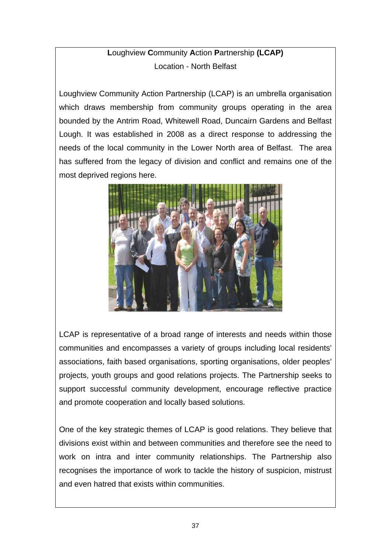# **L**oughview **C**ommunity **A**ction **P**artnership **(LCAP)** Location - North Belfast

Loughview Community Action Partnership (LCAP) is an umbrella organisation which draws membership from community groups operating in the area bounded by the Antrim Road, Whitewell Road, Duncairn Gardens and Belfast Lough. It was established in 2008 as a direct response to addressing the needs of the local community in the Lower North area of Belfast. The area has suffered from the legacy of division and conflict and remains one of the most deprived regions here.



LCAP is representative of a broad range of interests and needs within those communities and encompasses a variety of groups including local residents' associations, faith based organisations, sporting organisations, older peoples' projects, youth groups and good relations projects. The Partnership seeks to support successful community development, encourage reflective practice and promote cooperation and locally based solutions.

One of the key strategic themes of LCAP is good relations. They believe that divisions exist within and between communities and therefore see the need to work on intra and inter community relationships. The Partnership also recognises the importance of work to tackle the history of suspicion, mistrust and even hatred that exists within communities.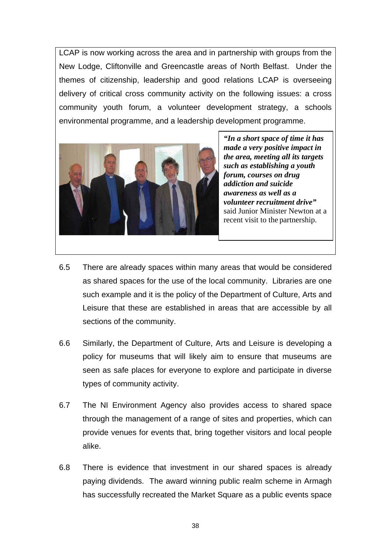LCAP is now working across the area and in partnership with groups from the New Lodge, Cliftonville and Greencastle areas of North Belfast. Under the themes of citizenship, leadership and good relations LCAP is overseeing delivery of critical cross community activity on the following issues: a cross community youth forum, a volunteer development strategy, a schools environmental programme, and a leadership development programme.



*"In a short space of time it has made a very positive impact in the area, meeting all its targets such as establishing a youth forum, courses on drug addiction and suicide awareness as well as a volunteer recruitment drive"* said Junior Minister Newton at a recent visit to the partnership.

- 6.5 There are already spaces within many areas that would be considered as shared spaces for the use of the local community. Libraries are one such example and it is the policy of the Department of Culture, Arts and Leisure that these are established in areas that are accessible by all sections of the community.
- 6.6 Similarly, the Department of Culture, Arts and Leisure is developing a policy for museums that will likely aim to ensure that museums are seen as safe places for everyone to explore and participate in diverse types of community activity.
- 6.7 The NI Environment Agency also provides access to shared space through the management of a range of sites and properties, which can provide venues for events that, bring together visitors and local people alike.
- 6.8 There is evidence that investment in our shared spaces is already paying dividends. The award winning public realm scheme in Armagh has successfully recreated the Market Square as a public events space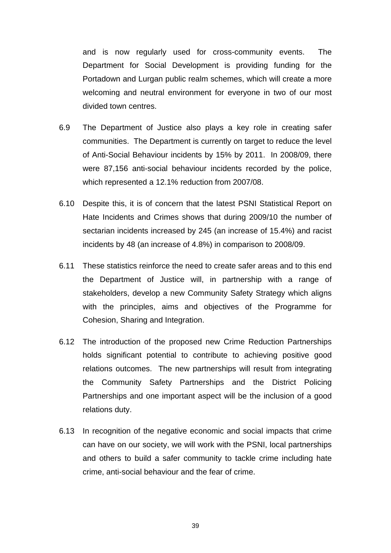and is now regularly used for cross-community events. The Department for Social Development is providing funding for the Portadown and Lurgan public realm schemes, which will create a more welcoming and neutral environment for everyone in two of our most divided town centres.

- 6.9 The Department of Justice also plays a key role in creating safer communities. The Department is currently on target to reduce the level of Anti-Social Behaviour incidents by 15% by 2011. In 2008/09, there were 87,156 anti-social behaviour incidents recorded by the police, which represented a 12.1% reduction from 2007/08.
- 6.10 Despite this, it is of concern that the latest PSNI Statistical Report on Hate Incidents and Crimes shows that during 2009/10 the number of sectarian incidents increased by 245 (an increase of 15.4%) and racist incidents by 48 (an increase of 4.8%) in comparison to 2008/09.
- 6.11 These statistics reinforce the need to create safer areas and to this end the Department of Justice will, in partnership with a range of stakeholders, develop a new Community Safety Strategy which aligns with the principles, aims and objectives of the Programme for Cohesion, Sharing and Integration.
- 6.12 The introduction of the proposed new Crime Reduction Partnerships holds significant potential to contribute to achieving positive good relations outcomes. The new partnerships will result from integrating the Community Safety Partnerships and the District Policing Partnerships and one important aspect will be the inclusion of a good relations duty.
- 6.13 In recognition of the negative economic and social impacts that crime can have on our society, we will work with the PSNI, local partnerships and others to build a safer community to tackle crime including hate crime, anti-social behaviour and the fear of crime.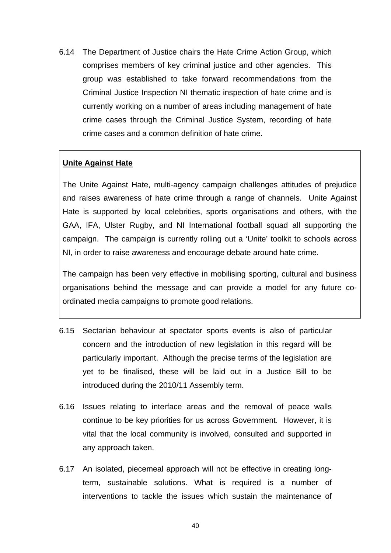6.14 The Department of Justice chairs the Hate Crime Action Group, which comprises members of key criminal justice and other agencies. This group was established to take forward recommendations from the Criminal Justice Inspection NI thematic inspection of hate crime and is currently working on a number of areas including management of hate crime cases through the Criminal Justice System, recording of hate crime cases and a common definition of hate crime.

## **Unite Against Hate**

The Unite Against Hate, multi-agency campaign challenges attitudes of prejudice and raises awareness of hate crime through a range of channels. Unite Against Hate is supported by local celebrities, sports organisations and others, with the GAA, IFA, Ulster Rugby, and NI International football squad all supporting the campaign. The campaign is currently rolling out a 'Unite' toolkit to schools across NI, in order to raise awareness and encourage debate around hate crime.

The campaign has been very effective in mobilising sporting, cultural and business organisations behind the message and can provide a model for any future coordinated media campaigns to promote good relations.

- 6.15 Sectarian behaviour at spectator sports events is also of particular concern and the introduction of new legislation in this regard will be particularly important. Although the precise terms of the legislation are yet to be finalised, these will be laid out in a Justice Bill to be introduced during the 2010/11 Assembly term.
- 6.16 Issues relating to interface areas and the removal of peace walls continue to be key priorities for us across Government. However, it is vital that the local community is involved, consulted and supported in any approach taken.
- 6.17 An isolated, piecemeal approach will not be effective in creating longterm, sustainable solutions. What is required is a number of interventions to tackle the issues which sustain the maintenance of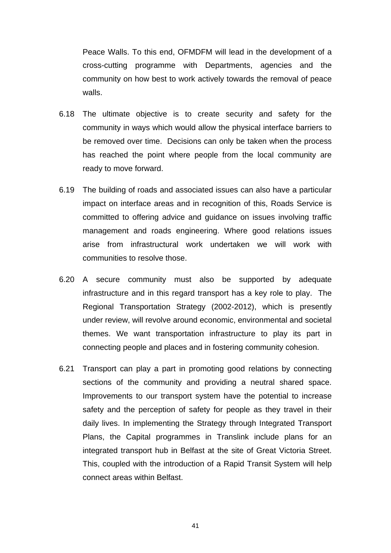Peace Walls. To this end, OFMDFM will lead in the development of a cross-cutting programme with Departments, agencies and the community on how best to work actively towards the removal of peace walls.

- 6.18 The ultimate objective is to create security and safety for the community in ways which would allow the physical interface barriers to be removed over time. Decisions can only be taken when the process has reached the point where people from the local community are ready to move forward.
- 6.19 The building of roads and associated issues can also have a particular impact on interface areas and in recognition of this, Roads Service is committed to offering advice and guidance on issues involving traffic management and roads engineering. Where good relations issues arise from infrastructural work undertaken we will work with communities to resolve those.
- 6.20 A secure community must also be supported by adequate infrastructure and in this regard transport has a key role to play. The Regional Transportation Strategy (2002-2012), which is presently under review, will revolve around economic, environmental and societal themes. We want transportation infrastructure to play its part in connecting people and places and in fostering community cohesion.
- 6.21 Transport can play a part in promoting good relations by connecting sections of the community and providing a neutral shared space. Improvements to our transport system have the potential to increase safety and the perception of safety for people as they travel in their daily lives. In implementing the Strategy through Integrated Transport Plans, the Capital programmes in Translink include plans for an integrated transport hub in Belfast at the site of Great Victoria Street. This, coupled with the introduction of a Rapid Transit System will help connect areas within Belfast.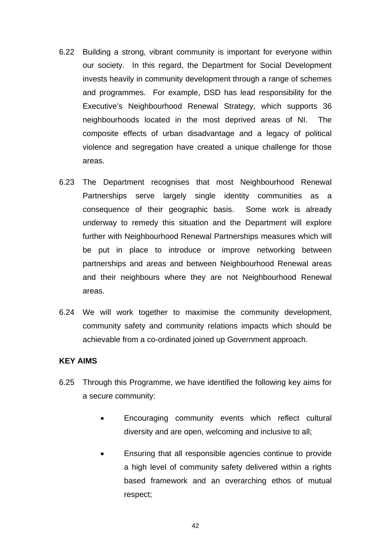- 6.22 Building a strong, vibrant community is important for everyone within our society. In this regard, the Department for Social Development invests heavily in community development through a range of schemes and programmes. For example, DSD has lead responsibility for the Executive's Neighbourhood Renewal Strategy, which supports 36 neighbourhoods located in the most deprived areas of NI. The composite effects of urban disadvantage and a legacy of political violence and segregation have created a unique challenge for those areas.
- 6.23 The Department recognises that most Neighbourhood Renewal Partnerships serve largely single identity communities as a consequence of their geographic basis. Some work is already underway to remedy this situation and the Department will explore further with Neighbourhood Renewal Partnerships measures which will be put in place to introduce or improve networking between partnerships and areas and between Neighbourhood Renewal areas and their neighbours where they are not Neighbourhood Renewal areas.
- 6.24 We will work together to maximise the community development, community safety and community relations impacts which should be achievable from a co-ordinated joined up Government approach.

#### **KEY AIMS**

- 6.25 Through this Programme, we have identified the following key aims for a secure community:
	- Encouraging community events which reflect cultural diversity and are open, welcoming and inclusive to all;
	- Ensuring that all responsible agencies continue to provide a high level of community safety delivered within a rights based framework and an overarching ethos of mutual respect;

42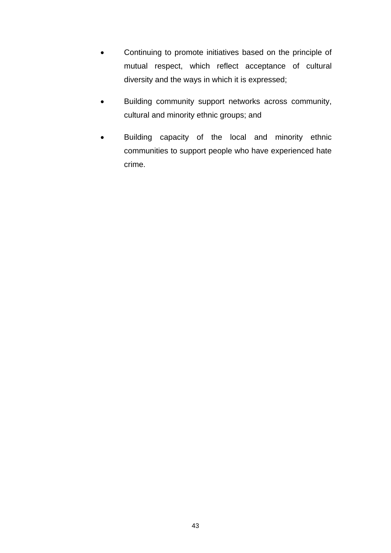- Continuing to promote initiatives based on the principle of mutual respect, which reflect acceptance of cultural diversity and the ways in which it is expressed;
- Building community support networks across community, cultural and minority ethnic groups; and
- Building capacity of the local and minority ethnic communities to support people who have experienced hate crime.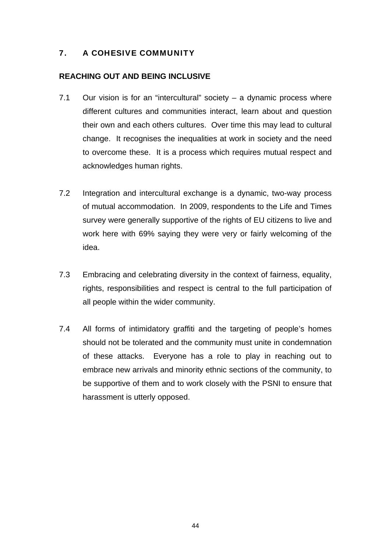# 7. A COHESIVE COMMUNITY

#### **REACHING OUT AND BEING INCLUSIVE**

- 7.1 Our vision is for an "intercultural" society a dynamic process where different cultures and communities interact, learn about and question their own and each others cultures. Over time this may lead to cultural change. It recognises the inequalities at work in society and the need to overcome these. It is a process which requires mutual respect and acknowledges human rights.
- 7.2 Integration and intercultural exchange is a dynamic, two-way process of mutual accommodation. In 2009, respondents to the Life and Times survey were generally supportive of the rights of EU citizens to live and work here with 69% saying they were very or fairly welcoming of the idea.
- 7.3 Embracing and celebrating diversity in the context of fairness, equality, rights, responsibilities and respect is central to the full participation of all people within the wider community.
- 7.4 All forms of intimidatory graffiti and the targeting of people's homes should not be tolerated and the community must unite in condemnation of these attacks. Everyone has a role to play in reaching out to embrace new arrivals and minority ethnic sections of the community, to be supportive of them and to work closely with the PSNI to ensure that harassment is utterly opposed.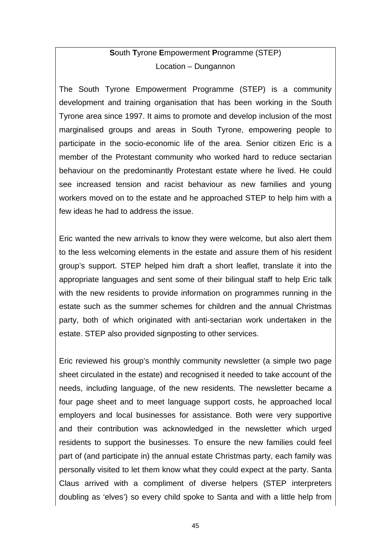# **S**outh **T**yrone **E**mpowerment **P**rogramme (STEP) Location – Dungannon

The South Tyrone Empowerment Programme (STEP) is a community development and training organisation that has been working in the South Tyrone area since 1997. It aims to promote and develop inclusion of the most marginalised groups and areas in South Tyrone, empowering people to participate in the socio-economic life of the area. Senior citizen Eric is a member of the Protestant community who worked hard to reduce sectarian behaviour on the predominantly Protestant estate where he lived. He could see increased tension and racist behaviour as new families and young workers moved on to the estate and he approached STEP to help him with a few ideas he had to address the issue.

Eric wanted the new arrivals to know they were welcome, but also alert them to the less welcoming elements in the estate and assure them of his resident group's support. STEP helped him draft a short leaflet, translate it into the appropriate languages and sent some of their bilingual staff to help Eric talk with the new residents to provide information on programmes running in the estate such as the summer schemes for children and the annual Christmas party, both of which originated with anti-sectarian work undertaken in the estate. STEP also provided signposting to other services.

Eric reviewed his group's monthly community newsletter (a simple two page sheet circulated in the estate) and recognised it needed to take account of the needs, including language, of the new residents. The newsletter became a four page sheet and to meet language support costs, he approached local employers and local businesses for assistance. Both were very supportive and their contribution was acknowledged in the newsletter which urged residents to support the businesses. To ensure the new families could feel part of (and participate in) the annual estate Christmas party, each family was personally visited to let them know what they could expect at the party. Santa Claus arrived with a compliment of diverse helpers (STEP interpreters doubling as 'elves') so every child spoke to Santa and with a little help from

45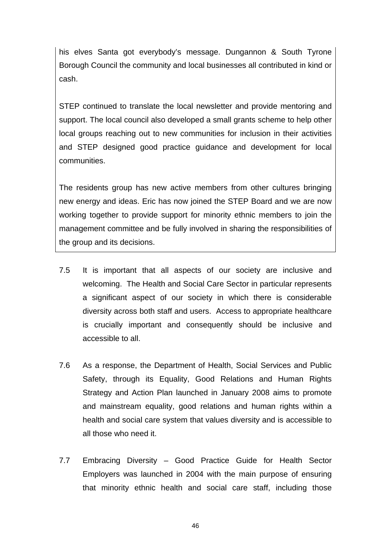his elves Santa got everybody's message. Dungannon & South Tyrone Borough Council the community and local businesses all contributed in kind or cash.

STEP continued to translate the local newsletter and provide mentoring and support. The local council also developed a small grants scheme to help other local groups reaching out to new communities for inclusion in their activities and STEP designed good practice guidance and development for local communities.

The residents group has new active members from other cultures bringing new energy and ideas. Eric has now joined the STEP Board and we are now working together to provide support for minority ethnic members to join the management committee and be fully involved in sharing the responsibilities of the group and its decisions.

- 7.5 It is important that all aspects of our society are inclusive and welcoming. The Health and Social Care Sector in particular represents a significant aspect of our society in which there is considerable diversity across both staff and users. Access to appropriate healthcare is crucially important and consequently should be inclusive and accessible to all.
- 7.6 As a response, the Department of Health, Social Services and Public Safety, through its Equality, Good Relations and Human Rights Strategy and Action Plan launched in January 2008 aims to promote and mainstream equality, good relations and human rights within a health and social care system that values diversity and is accessible to all those who need it.
- 7.7 Embracing Diversity Good Practice Guide for Health Sector Employers was launched in 2004 with the main purpose of ensuring that minority ethnic health and social care staff, including those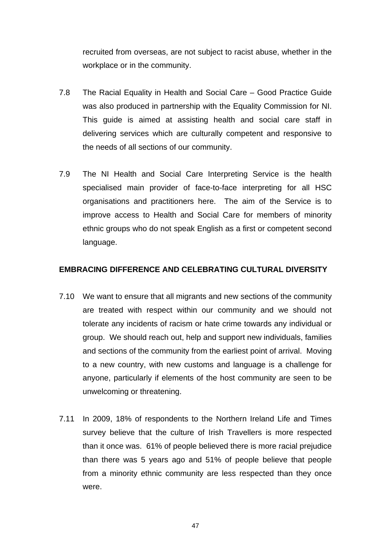recruited from overseas, are not subject to racist abuse, whether in the workplace or in the community.

- 7.8 The Racial Equality in Health and Social Care Good Practice Guide was also produced in partnership with the Equality Commission for NI. This guide is aimed at assisting health and social care staff in delivering services which are culturally competent and responsive to the needs of all sections of our community.
- 7.9 The NI Health and Social Care Interpreting Service is the health specialised main provider of face-to-face interpreting for all HSC organisations and practitioners here. The aim of the Service is to improve access to Health and Social Care for members of minority ethnic groups who do not speak English as a first or competent second language.

#### **EMBRACING DIFFERENCE AND CELEBRATING CULTURAL DIVERSITY**

- 7.10 We want to ensure that all migrants and new sections of the community are treated with respect within our community and we should not tolerate any incidents of racism or hate crime towards any individual or group. We should reach out, help and support new individuals, families and sections of the community from the earliest point of arrival. Moving to a new country, with new customs and language is a challenge for anyone, particularly if elements of the host community are seen to be unwelcoming or threatening.
- 7.11 In 2009, 18% of respondents to the Northern Ireland Life and Times survey believe that the culture of Irish Travellers is more respected than it once was. 61% of people believed there is more racial prejudice than there was 5 years ago and 51% of people believe that people from a minority ethnic community are less respected than they once were.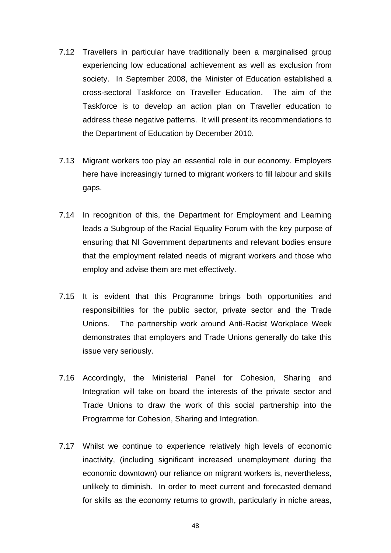- 7.12 Travellers in particular have traditionally been a marginalised group experiencing low educational achievement as well as exclusion from society. In September 2008, the Minister of Education established a cross-sectoral Taskforce on Traveller Education. The aim of the Taskforce is to develop an action plan on Traveller education to address these negative patterns. It will present its recommendations to the Department of Education by December 2010.
- 7.13 Migrant workers too play an essential role in our economy. Employers here have increasingly turned to migrant workers to fill labour and skills gaps.
- 7.14 In recognition of this, the Department for Employment and Learning leads a Subgroup of the Racial Equality Forum with the key purpose of ensuring that NI Government departments and relevant bodies ensure that the employment related needs of migrant workers and those who employ and advise them are met effectively.
- 7.15 It is evident that this Programme brings both opportunities and responsibilities for the public sector, private sector and the Trade Unions. The partnership work around Anti-Racist Workplace Week demonstrates that employers and Trade Unions generally do take this issue very seriously.
- 7.16 Accordingly, the Ministerial Panel for Cohesion, Sharing and Integration will take on board the interests of the private sector and Trade Unions to draw the work of this social partnership into the Programme for Cohesion, Sharing and Integration.
- 7.17 Whilst we continue to experience relatively high levels of economic inactivity, (including significant increased unemployment during the economic downtown) our reliance on migrant workers is, nevertheless, unlikely to diminish. In order to meet current and forecasted demand for skills as the economy returns to growth, particularly in niche areas,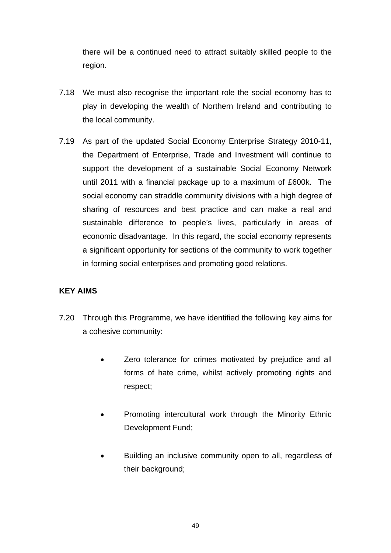there will be a continued need to attract suitably skilled people to the region.

- 7.18 We must also recognise the important role the social economy has to play in developing the wealth of Northern Ireland and contributing to the local community.
- 7.19 As part of the updated Social Economy Enterprise Strategy 2010-11, the Department of Enterprise, Trade and Investment will continue to support the development of a sustainable Social Economy Network until 2011 with a financial package up to a maximum of £600k. The social economy can straddle community divisions with a high degree of sharing of resources and best practice and can make a real and sustainable difference to people's lives, particularly in areas of economic disadvantage. In this regard, the social economy represents a significant opportunity for sections of the community to work together in forming social enterprises and promoting good relations.

## **KEY AIMS**

- 7.20 Through this Programme, we have identified the following key aims for a cohesive community:
	- Zero tolerance for crimes motivated by prejudice and all forms of hate crime, whilst actively promoting rights and respect;
	- Promoting intercultural work through the Minority Ethnic Development Fund;
	- Building an inclusive community open to all, regardless of their background;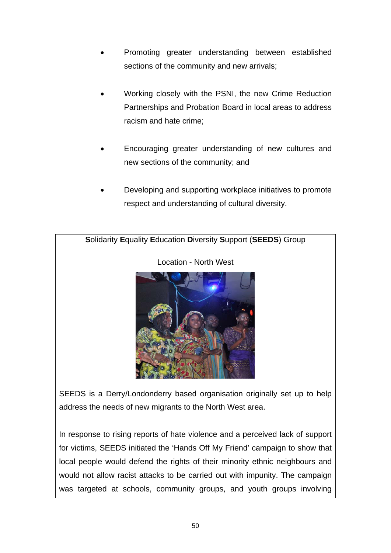- Promoting greater understanding between established sections of the community and new arrivals;
- Working closely with the PSNI, the new Crime Reduction Partnerships and Probation Board in local areas to address racism and hate crime;
- Encouraging greater understanding of new cultures and new sections of the community; and
- Developing and supporting workplace initiatives to promote respect and understanding of cultural diversity.



SEEDS is a Derry/Londonderry based organisation originally set up to help address the needs of new migrants to the North West area.

In response to rising reports of hate violence and a perceived lack of support for victims, SEEDS initiated the 'Hands Off My Friend' campaign to show that local people would defend the rights of their minority ethnic neighbours and would not allow racist attacks to be carried out with impunity. The campaign was targeted at schools, community groups, and youth groups involving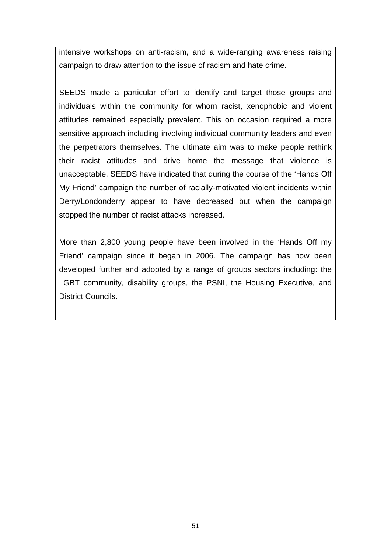intensive workshops on anti-racism, and a wide-ranging awareness raising campaign to draw attention to the issue of racism and hate crime.

SEEDS made a particular effort to identify and target those groups and individuals within the community for whom racist, xenophobic and violent attitudes remained especially prevalent. This on occasion required a more sensitive approach including involving individual community leaders and even the perpetrators themselves. The ultimate aim was to make people rethink their racist attitudes and drive home the message that violence is unacceptable. SEEDS have indicated that during the course of the 'Hands Off My Friend' campaign the number of racially-motivated violent incidents within Derry/Londonderry appear to have decreased but when the campaign stopped the number of racist attacks increased.

More than 2,800 young people have been involved in the 'Hands Off my Friend' campaign since it began in 2006. The campaign has now been developed further and adopted by a range of groups sectors including: the LGBT community, disability groups, the PSNI, the Housing Executive, and District Councils.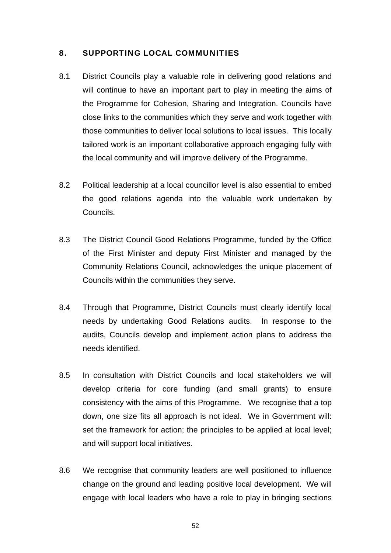#### 8. SUPPORTING LOCAL COMMUNITIES

- 8.1 District Councils play a valuable role in delivering good relations and will continue to have an important part to play in meeting the aims of the Programme for Cohesion, Sharing and Integration. Councils have close links to the communities which they serve and work together with those communities to deliver local solutions to local issues. This locally tailored work is an important collaborative approach engaging fully with the local community and will improve delivery of the Programme.
- 8.2 Political leadership at a local councillor level is also essential to embed the good relations agenda into the valuable work undertaken by Councils.
- 8.3 The District Council Good Relations Programme, funded by the Office of the First Minister and deputy First Minister and managed by the Community Relations Council, acknowledges the unique placement of Councils within the communities they serve.
- 8.4 Through that Programme, District Councils must clearly identify local needs by undertaking Good Relations audits. In response to the audits, Councils develop and implement action plans to address the needs identified.
- 8.5 In consultation with District Councils and local stakeholders we will develop criteria for core funding (and small grants) to ensure consistency with the aims of this Programme. We recognise that a top down, one size fits all approach is not ideal. We in Government will: set the framework for action; the principles to be applied at local level; and will support local initiatives.
- 8.6 We recognise that community leaders are well positioned to influence change on the ground and leading positive local development. We will engage with local leaders who have a role to play in bringing sections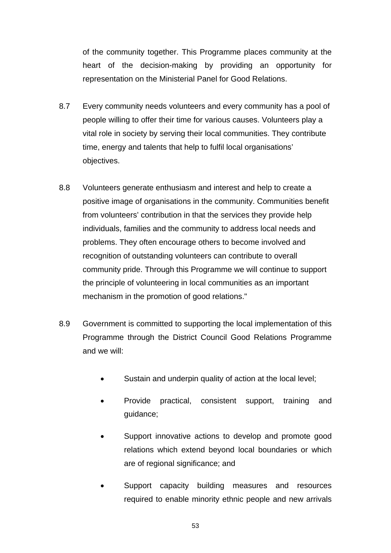of the community together. This Programme places community at the heart of the decision-making by providing an opportunity for representation on the Ministerial Panel for Good Relations.

- 8.7 Every community needs volunteers and every community has a pool of people willing to offer their time for various causes. Volunteers play a vital role in society by serving their local communities. They contribute time, energy and talents that help to fulfil local organisations' objectives.
- 8.8 Volunteers generate enthusiasm and interest and help to create a positive image of organisations in the community. Communities benefit from volunteers' contribution in that the services they provide help individuals, families and the community to address local needs and problems. They often encourage others to become involved and recognition of outstanding volunteers can contribute to overall community pride. Through this Programme we will continue to support the principle of volunteering in local communities as an important mechanism in the promotion of good relations."
- 8.9 Government is committed to supporting the local implementation of this Programme through the District Council Good Relations Programme and we will:
	- Sustain and underpin quality of action at the local level;
	- Provide practical, consistent support, training and guidance;
	- Support innovative actions to develop and promote good relations which extend beyond local boundaries or which are of regional significance; and
	- Support capacity building measures and resources required to enable minority ethnic people and new arrivals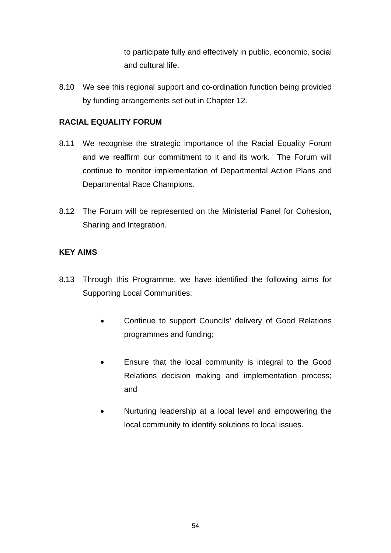to participate fully and effectively in public, economic, social and cultural life.

8.10 We see this regional support and co-ordination function being provided by funding arrangements set out in Chapter 12.

### **RACIAL EQUALITY FORUM**

- 8.11 We recognise the strategic importance of the Racial Equality Forum and we reaffirm our commitment to it and its work. The Forum will continue to monitor implementation of Departmental Action Plans and Departmental Race Champions.
- 8.12 The Forum will be represented on the Ministerial Panel for Cohesion, Sharing and Integration.

#### **KEY AIMS**

- 8.13 Through this Programme, we have identified the following aims for Supporting Local Communities:
	- Continue to support Councils' delivery of Good Relations programmes and funding;
	- Ensure that the local community is integral to the Good Relations decision making and implementation process; and
	- Nurturing leadership at a local level and empowering the local community to identify solutions to local issues.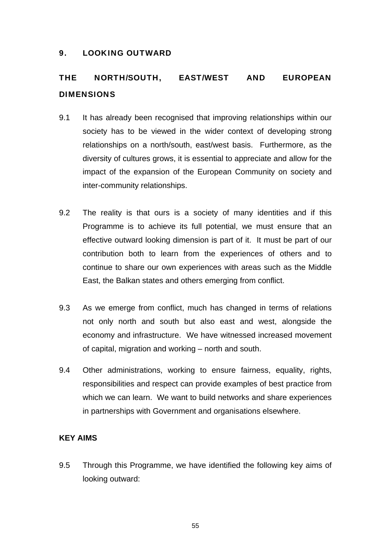#### 9. LOOKING OUTWARD

# THE NORTH/SOUTH, EAST/WEST AND EUROPEAN **DIMENSIONS**

- 9.1 It has already been recognised that improving relationships within our society has to be viewed in the wider context of developing strong relationships on a north/south, east/west basis. Furthermore, as the diversity of cultures grows, it is essential to appreciate and allow for the impact of the expansion of the European Community on society and inter-community relationships.
- 9.2 The reality is that ours is a society of many identities and if this Programme is to achieve its full potential, we must ensure that an effective outward looking dimension is part of it. It must be part of our contribution both to learn from the experiences of others and to continue to share our own experiences with areas such as the Middle East, the Balkan states and others emerging from conflict.
- 9.3 As we emerge from conflict, much has changed in terms of relations not only north and south but also east and west, alongside the economy and infrastructure. We have witnessed increased movement of capital, migration and working – north and south.
- 9.4 Other administrations, working to ensure fairness, equality, rights, responsibilities and respect can provide examples of best practice from which we can learn. We want to build networks and share experiences in partnerships with Government and organisations elsewhere.

## **KEY AIMS**

9.5 Through this Programme, we have identified the following key aims of looking outward: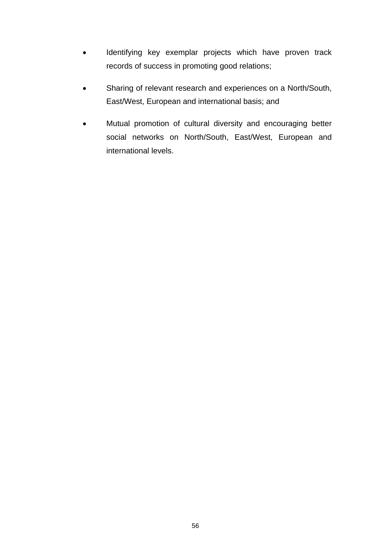- Identifying key exemplar projects which have proven track records of success in promoting good relations;
- Sharing of relevant research and experiences on a North/South, East/West, European and international basis; and
- Mutual promotion of cultural diversity and encouraging better social networks on North/South, East/West, European and international levels.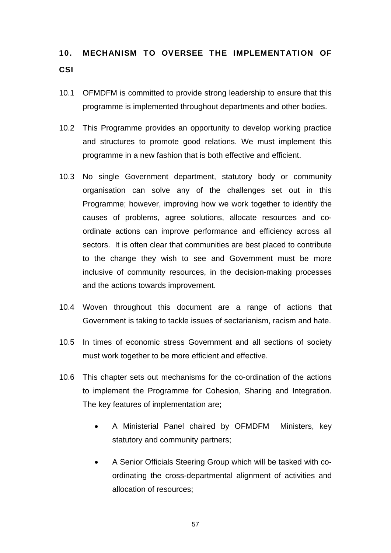# 10. MECHANISM TO OVERSEE THE IMPLEMENTATION OF **CSI**

- 10.1 OFMDFM is committed to provide strong leadership to ensure that this programme is implemented throughout departments and other bodies.
- 10.2 This Programme provides an opportunity to develop working practice and structures to promote good relations. We must implement this programme in a new fashion that is both effective and efficient.
- 10.3 No single Government department, statutory body or community organisation can solve any of the challenges set out in this Programme; however, improving how we work together to identify the causes of problems, agree solutions, allocate resources and coordinate actions can improve performance and efficiency across all sectors. It is often clear that communities are best placed to contribute to the change they wish to see and Government must be more inclusive of community resources, in the decision-making processes and the actions towards improvement.
- 10.4 Woven throughout this document are a range of actions that Government is taking to tackle issues of sectarianism, racism and hate.
- 10.5 In times of economic stress Government and all sections of society must work together to be more efficient and effective.
- 10.6 This chapter sets out mechanisms for the co-ordination of the actions to implement the Programme for Cohesion, Sharing and Integration. The key features of implementation are;
	- A Ministerial Panel chaired by OFMDFM Ministers, key statutory and community partners;
	- A Senior Officials Steering Group which will be tasked with coordinating the cross-departmental alignment of activities and allocation of resources;

57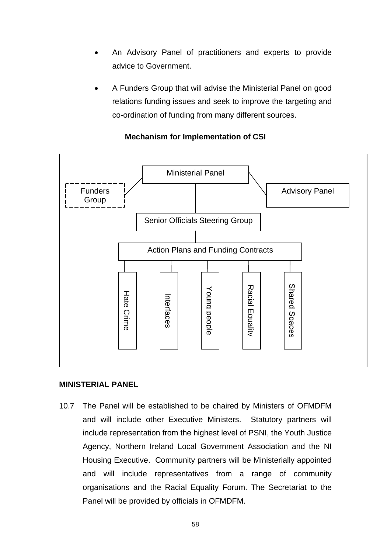- An Advisory Panel of practitioners and experts to provide advice to Government.
- A Funders Group that will advise the Ministerial Panel on good relations funding issues and seek to improve the targeting and co-ordination of funding from many different sources.



# **Mechanism for Implementation of CSI**

#### **MINISTERIAL PANEL**

10.7 The Panel will be established to be chaired by Ministers of OFMDFM and will include other Executive Ministers. Statutory partners will include representation from the highest level of PSNI, the Youth Justice Agency, Northern Ireland Local Government Association and the NI Housing Executive. Community partners will be Ministerially appointed and will include representatives from a range of community organisations and the Racial Equality Forum. The Secretariat to the Panel will be provided by officials in OFMDFM.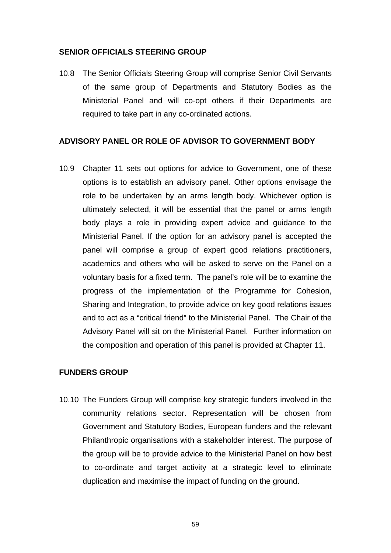#### **SENIOR OFFICIALS STEERING GROUP**

10.8 The Senior Officials Steering Group will comprise Senior Civil Servants of the same group of Departments and Statutory Bodies as the Ministerial Panel and will co-opt others if their Departments are required to take part in any co-ordinated actions.

#### **ADVISORY PANEL OR ROLE OF ADVISOR TO GOVERNMENT BODY**

10.9 Chapter 11 sets out options for advice to Government, one of these options is to establish an advisory panel. Other options envisage the role to be undertaken by an arms length body. Whichever option is ultimately selected, it will be essential that the panel or arms length body plays a role in providing expert advice and guidance to the Ministerial Panel. If the option for an advisory panel is accepted the panel will comprise a group of expert good relations practitioners, academics and others who will be asked to serve on the Panel on a voluntary basis for a fixed term. The panel's role will be to examine the progress of the implementation of the Programme for Cohesion, Sharing and Integration, to provide advice on key good relations issues and to act as a "critical friend" to the Ministerial Panel. The Chair of the Advisory Panel will sit on the Ministerial Panel. Further information on the composition and operation of this panel is provided at Chapter 11.

### **FUNDERS GROUP**

10.10 The Funders Group will comprise key strategic funders involved in the community relations sector. Representation will be chosen from Government and Statutory Bodies, European funders and the relevant Philanthropic organisations with a stakeholder interest. The purpose of the group will be to provide advice to the Ministerial Panel on how best to co-ordinate and target activity at a strategic level to eliminate duplication and maximise the impact of funding on the ground.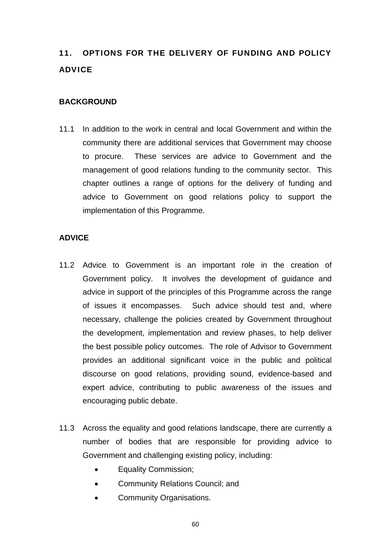# 11. OPTIONS FOR THE DELIVERY OF FUNDING AND POLICY ADVICE

#### **BACKGROUND**

11.1 In addition to the work in central and local Government and within the community there are additional services that Government may choose to procure. These services are advice to Government and the management of good relations funding to the community sector. This chapter outlines a range of options for the delivery of funding and advice to Government on good relations policy to support the implementation of this Programme.

#### **ADVICE**

- 11.2 Advice to Government is an important role in the creation of Government policy. It involves the development of guidance and advice in support of the principles of this Programme across the range of issues it encompasses. Such advice should test and, where necessary, challenge the policies created by Government throughout the development, implementation and review phases, to help deliver the best possible policy outcomes. The role of Advisor to Government provides an additional significant voice in the public and political discourse on good relations, providing sound, evidence-based and expert advice, contributing to public awareness of the issues and encouraging public debate.
- 11.3 Across the equality and good relations landscape, there are currently a number of bodies that are responsible for providing advice to Government and challenging existing policy, including:
	- Equality Commission;
	- Community Relations Council; and
	- Community Organisations.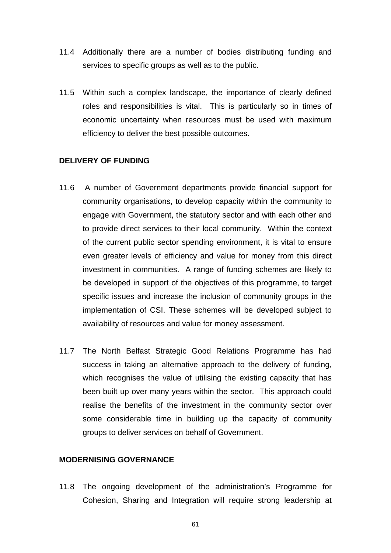- 11.4 Additionally there are a number of bodies distributing funding and services to specific groups as well as to the public.
- 11.5 Within such a complex landscape, the importance of clearly defined roles and responsibilities is vital. This is particularly so in times of economic uncertainty when resources must be used with maximum efficiency to deliver the best possible outcomes.

#### **DELIVERY OF FUNDING**

- 11.6 A number of Government departments provide financial support for community organisations, to develop capacity within the community to engage with Government, the statutory sector and with each other and to provide direct services to their local community. Within the context of the current public sector spending environment, it is vital to ensure even greater levels of efficiency and value for money from this direct investment in communities. A range of funding schemes are likely to be developed in support of the objectives of this programme, to target specific issues and increase the inclusion of community groups in the implementation of CSI. These schemes will be developed subject to availability of resources and value for money assessment.
- 11.7 The North Belfast Strategic Good Relations Programme has had success in taking an alternative approach to the delivery of funding, which recognises the value of utilising the existing capacity that has been built up over many years within the sector. This approach could realise the benefits of the investment in the community sector over some considerable time in building up the capacity of community groups to deliver services on behalf of Government.

#### **MODERNISING GOVERNANCE**

11.8 The ongoing development of the administration's Programme for Cohesion, Sharing and Integration will require strong leadership at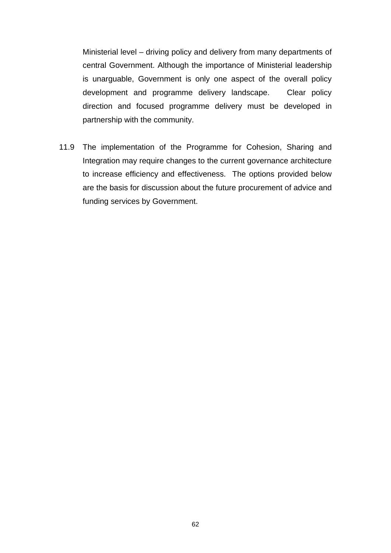Ministerial level – driving policy and delivery from many departments of central Government. Although the importance of Ministerial leadership is unarguable, Government is only one aspect of the overall policy development and programme delivery landscape. Clear policy direction and focused programme delivery must be developed in partnership with the community.

11.9 The implementation of the Programme for Cohesion, Sharing and Integration may require changes to the current governance architecture to increase efficiency and effectiveness. The options provided below are the basis for discussion about the future procurement of advice and funding services by Government.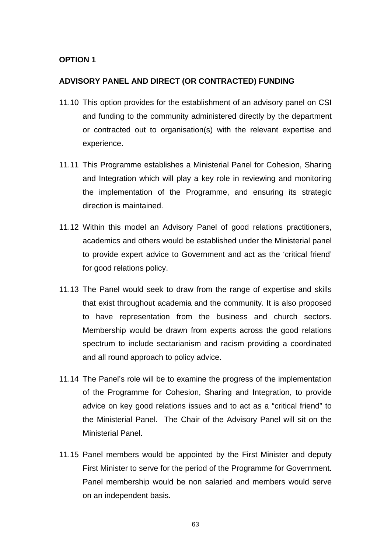#### **OPTION 1**

#### **ADVISORY PANEL AND DIRECT (OR CONTRACTED) FUNDING**

- 11.10 This option provides for the establishment of an advisory panel on CSI and funding to the community administered directly by the department or contracted out to organisation(s) with the relevant expertise and experience.
- 11.11 This Programme establishes a Ministerial Panel for Cohesion, Sharing and Integration which will play a key role in reviewing and monitoring the implementation of the Programme, and ensuring its strategic direction is maintained.
- 11.12 Within this model an Advisory Panel of good relations practitioners, academics and others would be established under the Ministerial panel to provide expert advice to Government and act as the 'critical friend' for good relations policy.
- 11.13 The Panel would seek to draw from the range of expertise and skills that exist throughout academia and the community. It is also proposed to have representation from the business and church sectors. Membership would be drawn from experts across the good relations spectrum to include sectarianism and racism providing a coordinated and all round approach to policy advice.
- 11.14 The Panel's role will be to examine the progress of the implementation of the Programme for Cohesion, Sharing and Integration, to provide advice on key good relations issues and to act as a "critical friend" to the Ministerial Panel. The Chair of the Advisory Panel will sit on the Ministerial Panel.
- 11.15 Panel members would be appointed by the First Minister and deputy First Minister to serve for the period of the Programme for Government. Panel membership would be non salaried and members would serve on an independent basis.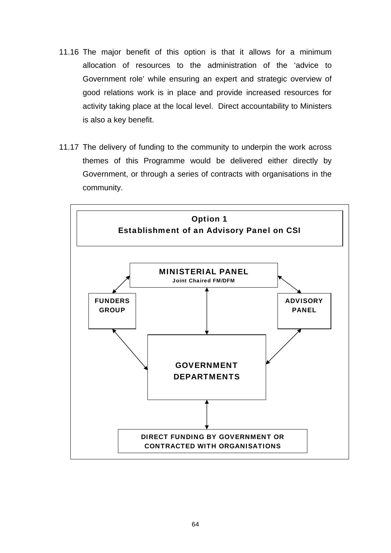- 11.16 The major benefit of this option is that it allows for a minimum allocation of resources to the administration of the 'advice to Government role' while ensuring an expert and strategic overview of good relations work is in place and provide increased resources for activity taking place at the local level. Direct accountability to Ministers is also a key benefit.
- 11.17 The delivery of funding to the community to underpin the work across themes of this Programme would be delivered either directly by Government, or through a series of contracts with organisations in the community.

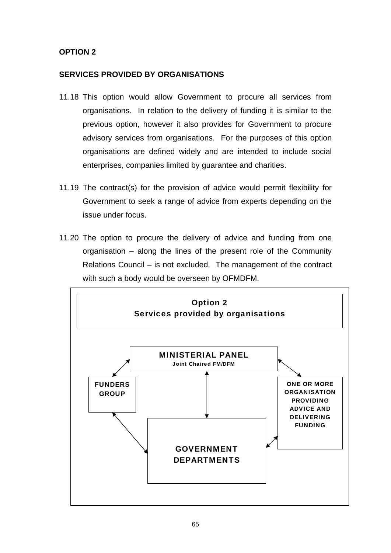# **OPTION 2**

#### **SERVICES PROVIDED BY ORGANISATIONS**

- 11.18 This option would allow Government to procure all services from organisations. In relation to the delivery of funding it is similar to the previous option, however it also provides for Government to procure advisory services from organisations. For the purposes of this option organisations are defined widely and are intended to include social enterprises, companies limited by guarantee and charities.
- 11.19 The contract(s) for the provision of advice would permit flexibility for Government to seek a range of advice from experts depending on the issue under focus.
- 11.20 The option to procure the delivery of advice and funding from one organisation – along the lines of the present role of the Community Relations Council – is not excluded. The management of the contract with such a body would be overseen by OFMDFM.

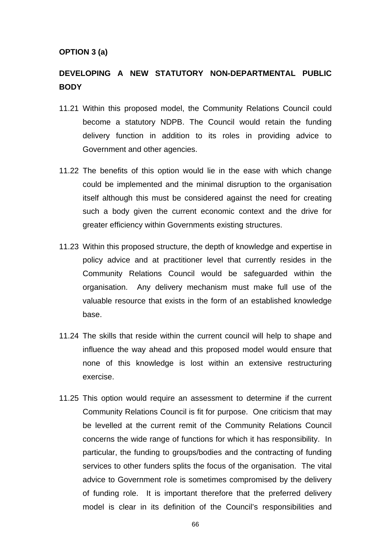#### **OPTION 3 (a)**

# **DEVELOPING A NEW STATUTORY NON-DEPARTMENTAL PUBLIC BODY**

- 11.21 Within this proposed model, the Community Relations Council could become a statutory NDPB. The Council would retain the funding delivery function in addition to its roles in providing advice to Government and other agencies.
- 11.22 The benefits of this option would lie in the ease with which change could be implemented and the minimal disruption to the organisation itself although this must be considered against the need for creating such a body given the current economic context and the drive for greater efficiency within Governments existing structures.
- 11.23 Within this proposed structure, the depth of knowledge and expertise in policy advice and at practitioner level that currently resides in the Community Relations Council would be safeguarded within the organisation. Any delivery mechanism must make full use of the valuable resource that exists in the form of an established knowledge base.
- 11.24 The skills that reside within the current council will help to shape and influence the way ahead and this proposed model would ensure that none of this knowledge is lost within an extensive restructuring exercise.
- 11.25 This option would require an assessment to determine if the current Community Relations Council is fit for purpose. One criticism that may be levelled at the current remit of the Community Relations Council concerns the wide range of functions for which it has responsibility. In particular, the funding to groups/bodies and the contracting of funding services to other funders splits the focus of the organisation. The vital advice to Government role is sometimes compromised by the delivery of funding role. It is important therefore that the preferred delivery model is clear in its definition of the Council's responsibilities and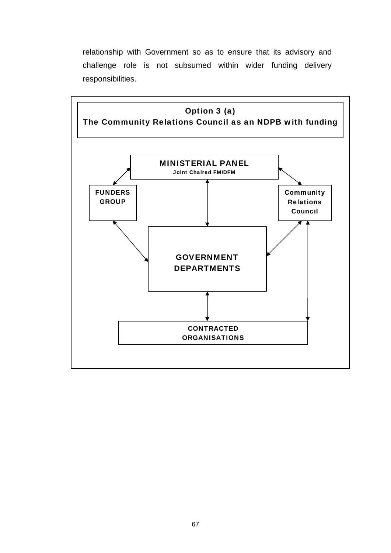relationship with Government so as to ensure that its advisory and challenge role is not subsumed within wider funding delivery responsibilities.

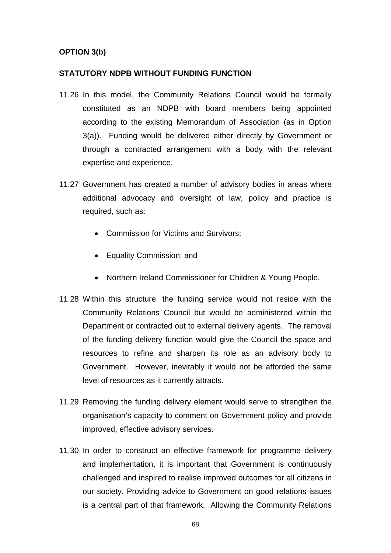#### **OPTION 3(b)**

#### **STATUTORY NDPB WITHOUT FUNDING FUNCTION**

- 11.26 In this model, the Community Relations Council would be formally constituted as an NDPB with board members being appointed according to the existing Memorandum of Association (as in Option 3(a)). Funding would be delivered either directly by Government or through a contracted arrangement with a body with the relevant expertise and experience.
- 11.27 Government has created a number of advisory bodies in areas where additional advocacy and oversight of law, policy and practice is required, such as:
	- Commission for Victims and Survivors;
	- Equality Commission; and
	- Northern Ireland Commissioner for Children & Young People.
- 11.28 Within this structure, the funding service would not reside with the Community Relations Council but would be administered within the Department or contracted out to external delivery agents. The removal of the funding delivery function would give the Council the space and resources to refine and sharpen its role as an advisory body to Government. However, inevitably it would not be afforded the same level of resources as it currently attracts.
- 11.29 Removing the funding delivery element would serve to strengthen the organisation's capacity to comment on Government policy and provide improved, effective advisory services.
- 11.30 In order to construct an effective framework for programme delivery and implementation, it is important that Government is continuously challenged and inspired to realise improved outcomes for all citizens in our society. Providing advice to Government on good relations issues is a central part of that framework. Allowing the Community Relations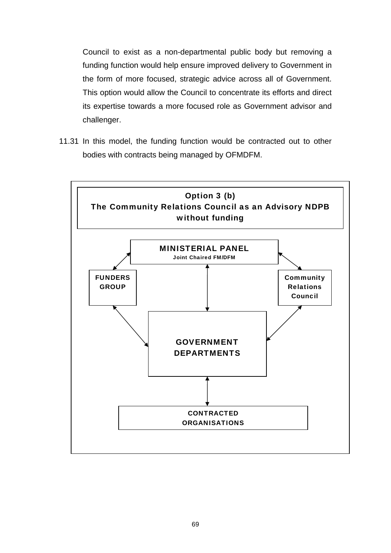Council to exist as a non-departmental public body but removing a funding function would help ensure improved delivery to Government in the form of more focused, strategic advice across all of Government. This option would allow the Council to concentrate its efforts and direct its expertise towards a more focused role as Government advisor and challenger.

11.31 In this model, the funding function would be contracted out to other bodies with contracts being managed by OFMDFM.

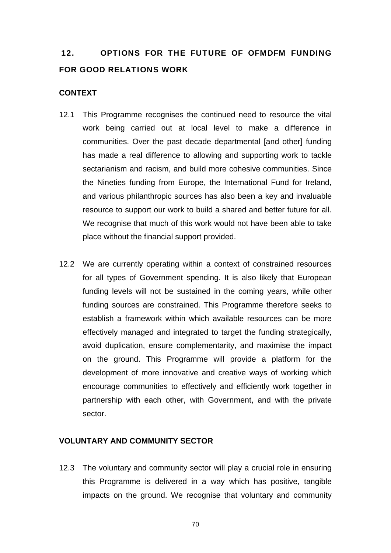# 12. OPTIONS FOR THE FUTURE OF OFMDFM FUNDING FOR GOOD RELATIONS WORK

## **CONTEXT**

- 12.1 This Programme recognises the continued need to resource the vital work being carried out at local level to make a difference in communities. Over the past decade departmental [and other] funding has made a real difference to allowing and supporting work to tackle sectarianism and racism, and build more cohesive communities. Since the Nineties funding from Europe, the International Fund for Ireland, and various philanthropic sources has also been a key and invaluable resource to support our work to build a shared and better future for all. We recognise that much of this work would not have been able to take place without the financial support provided.
- 12.2 We are currently operating within a context of constrained resources for all types of Government spending. It is also likely that European funding levels will not be sustained in the coming years, while other funding sources are constrained. This Programme therefore seeks to establish a framework within which available resources can be more effectively managed and integrated to target the funding strategically, avoid duplication, ensure complementarity, and maximise the impact on the ground. This Programme will provide a platform for the development of more innovative and creative ways of working which encourage communities to effectively and efficiently work together in partnership with each other, with Government, and with the private sector.

#### **VOLUNTARY AND COMMUNITY SECTOR**

12.3 The voluntary and community sector will play a crucial role in ensuring this Programme is delivered in a way which has positive, tangible impacts on the ground. We recognise that voluntary and community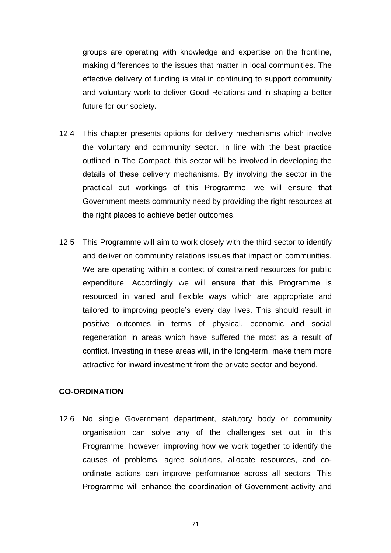groups are operating with knowledge and expertise on the frontline, making differences to the issues that matter in local communities. The effective delivery of funding is vital in continuing to support community and voluntary work to deliver Good Relations and in shaping a better future for our society**.**

- 12.4 This chapter presents options for delivery mechanisms which involve the voluntary and community sector. In line with the best practice outlined in The Compact, this sector will be involved in developing the details of these delivery mechanisms. By involving the sector in the practical out workings of this Programme, we will ensure that Government meets community need by providing the right resources at the right places to achieve better outcomes.
- 12.5 This Programme will aim to work closely with the third sector to identify and deliver on community relations issues that impact on communities. We are operating within a context of constrained resources for public expenditure. Accordingly we will ensure that this Programme is resourced in varied and flexible ways which are appropriate and tailored to improving people's every day lives. This should result in positive outcomes in terms of physical, economic and social regeneration in areas which have suffered the most as a result of conflict. Investing in these areas will, in the long-term, make them more attractive for inward investment from the private sector and beyond.

## **CO-ORDINATION**

12.6 No single Government department, statutory body or community organisation can solve any of the challenges set out in this Programme; however, improving how we work together to identify the causes of problems, agree solutions, allocate resources, and coordinate actions can improve performance across all sectors. This Programme will enhance the coordination of Government activity and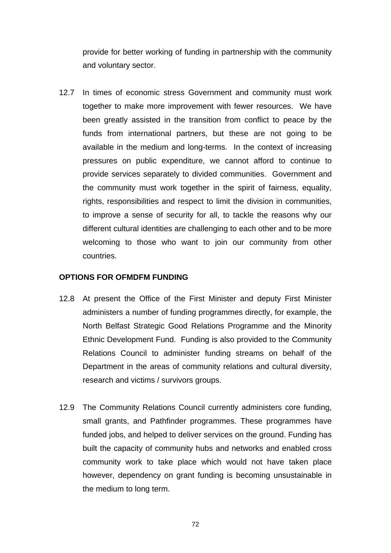provide for better working of funding in partnership with the community and voluntary sector.

12.7 In times of economic stress Government and community must work together to make more improvement with fewer resources. We have been greatly assisted in the transition from conflict to peace by the funds from international partners, but these are not going to be available in the medium and long-terms. In the context of increasing pressures on public expenditure, we cannot afford to continue to provide services separately to divided communities. Government and the community must work together in the spirit of fairness, equality, rights, responsibilities and respect to limit the division in communities, to improve a sense of security for all, to tackle the reasons why our different cultural identities are challenging to each other and to be more welcoming to those who want to join our community from other countries.

#### **OPTIONS FOR OFMDFM FUNDING**

- 12.8 At present the Office of the First Minister and deputy First Minister administers a number of funding programmes directly, for example, the North Belfast Strategic Good Relations Programme and the Minority Ethnic Development Fund. Funding is also provided to the Community Relations Council to administer funding streams on behalf of the Department in the areas of community relations and cultural diversity, research and victims / survivors groups.
- 12.9 The Community Relations Council currently administers core funding, small grants, and Pathfinder programmes. These programmes have funded jobs, and helped to deliver services on the ground. Funding has built the capacity of community hubs and networks and enabled cross community work to take place which would not have taken place however, dependency on grant funding is becoming unsustainable in the medium to long term.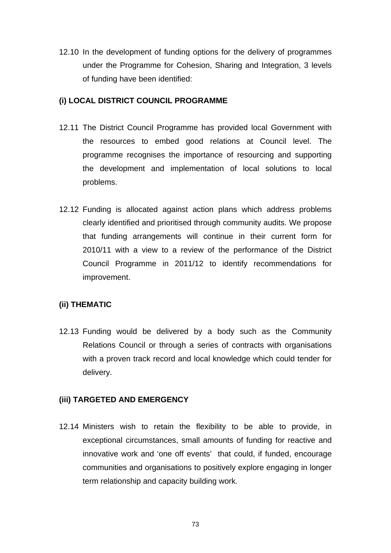12.10 In the development of funding options for the delivery of programmes under the Programme for Cohesion, Sharing and Integration, 3 levels of funding have been identified:

## **(i) LOCAL DISTRICT COUNCIL PROGRAMME**

- 12.11 The District Council Programme has provided local Government with the resources to embed good relations at Council level. The programme recognises the importance of resourcing and supporting the development and implementation of local solutions to local problems.
- 12.12 Funding is allocated against action plans which address problems clearly identified and prioritised through community audits. We propose that funding arrangements will continue in their current form for 2010/11 with a view to a review of the performance of the District Council Programme in 2011/12 to identify recommendations for improvement.

# **(ii) THEMATIC**

12.13 Funding would be delivered by a body such as the Community Relations Council or through a series of contracts with organisations with a proven track record and local knowledge which could tender for delivery.

# **(iii) TARGETED AND EMERGENCY**

12.14 Ministers wish to retain the flexibility to be able to provide, in exceptional circumstances, small amounts of funding for reactive and innovative work and 'one off events' that could, if funded, encourage communities and organisations to positively explore engaging in longer term relationship and capacity building work.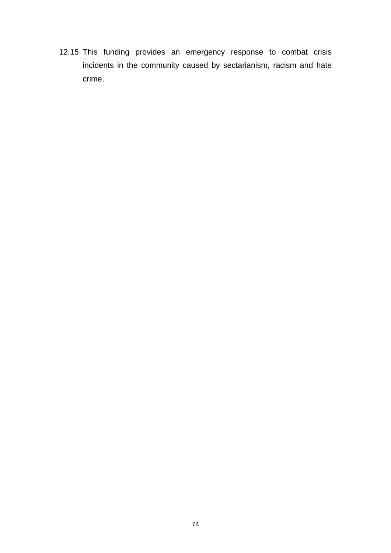12.15 This funding provides an emergency response to combat crisis incidents in the community caused by sectarianism, racism and hate crime.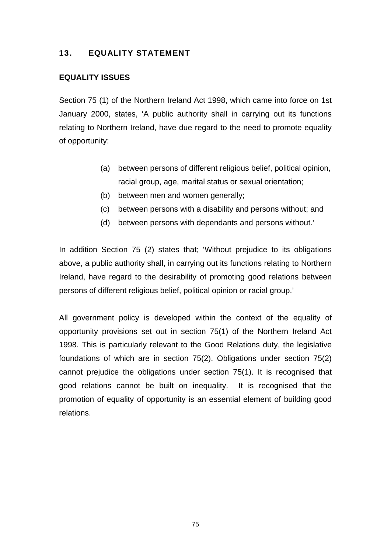## 13. EQUALITY STATEMENT

#### **EQUALITY ISSUES**

Section 75 (1) of the Northern Ireland Act 1998, which came into force on 1st January 2000, states, 'A public authority shall in carrying out its functions relating to Northern Ireland, have due regard to the need to promote equality of opportunity:

- (a) between persons of different religious belief, political opinion, racial group, age, marital status or sexual orientation;
- (b) between men and women generally;
- (c) between persons with a disability and persons without; and
- (d) between persons with dependants and persons without.'

In addition Section 75 (2) states that; 'Without prejudice to its obligations above, a public authority shall, in carrying out its functions relating to Northern Ireland, have regard to the desirability of promoting good relations between persons of different religious belief, political opinion or racial group.'

All government policy is developed within the context of the equality of opportunity provisions set out in section 75(1) of the Northern Ireland Act 1998. This is particularly relevant to the Good Relations duty, the legislative foundations of which are in section 75(2). Obligations under section 75(2) cannot prejudice the obligations under section 75(1). It is recognised that good relations cannot be built on inequality. It is recognised that the promotion of equality of opportunity is an essential element of building good relations.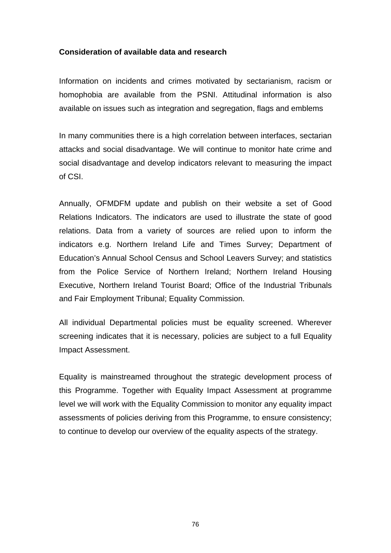#### **Consideration of available data and research**

Information on incidents and crimes motivated by sectarianism, racism or homophobia are available from the PSNI. Attitudinal information is also available on issues such as integration and segregation, flags and emblems

In many communities there is a high correlation between interfaces, sectarian attacks and social disadvantage. We will continue to monitor hate crime and social disadvantage and develop indicators relevant to measuring the impact of CSI.

Annually, OFMDFM update and publish on their website a set of Good Relations Indicators. The indicators are used to illustrate the state of good relations. Data from a variety of sources are relied upon to inform the indicators e.g. Northern Ireland Life and Times Survey; Department of Education's Annual School Census and School Leavers Survey; and statistics from the Police Service of Northern Ireland; Northern Ireland Housing Executive, Northern Ireland Tourist Board; Office of the Industrial Tribunals and Fair Employment Tribunal; Equality Commission.

All individual Departmental policies must be equality screened. Wherever screening indicates that it is necessary, policies are subject to a full Equality Impact Assessment.

Equality is mainstreamed throughout the strategic development process of this Programme. Together with Equality Impact Assessment at programme level we will work with the Equality Commission to monitor any equality impact assessments of policies deriving from this Programme, to ensure consistency; to continue to develop our overview of the equality aspects of the strategy.

76